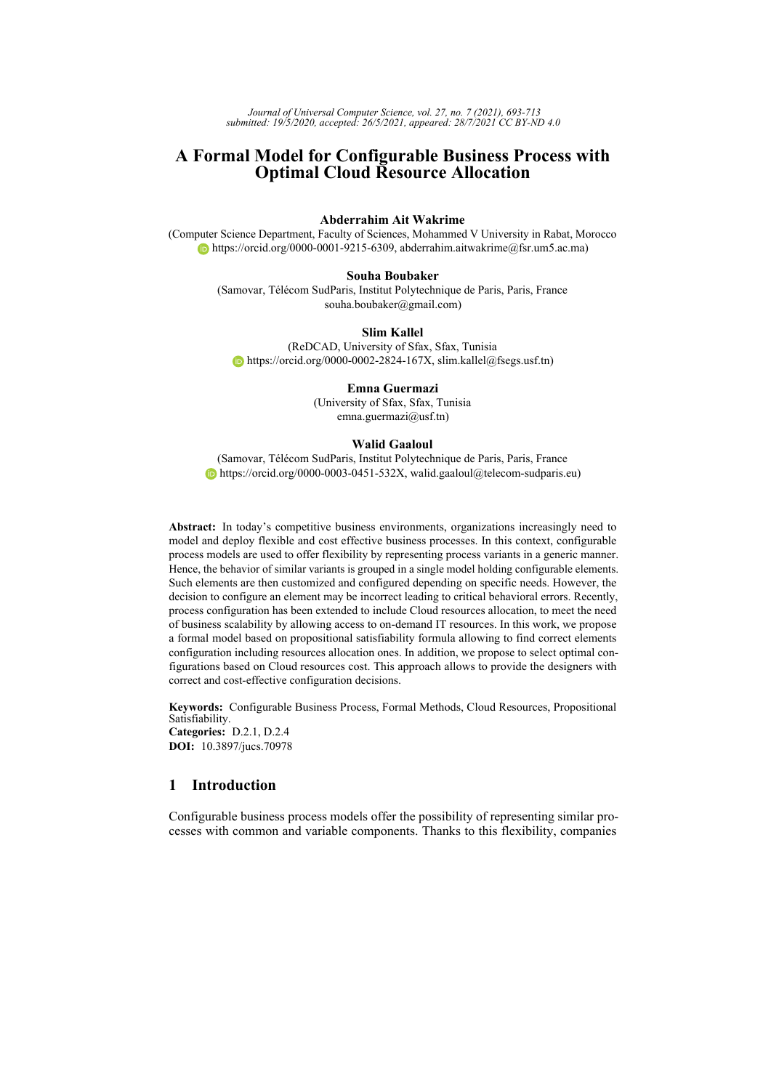*Journal of Universal Computer Science, vol. 27, no. 7 (2021), 693-713 submitted: 19/5/2020, accepted: 26/5/2021, appeared: 28/7/2021 CC BY-ND 4.0*

# **A Formal Model for Configurable Business Process with Optimal Cloud Resource Allocation**

## **Abderrahim Ait Wakrime**

(Computer Science Department, Faculty of Sciences, Mohammed V University in Rabat, Morocco [https://orcid.org/0000-0001-9215-6309,](https://orcid.org/0000-0001-9215-6309) abderrahim.aitwakrime@fsr.um5.ac.ma)

### **Souha Boubaker**

(Samovar, Télécom SudParis, Institut Polytechnique de Paris, Paris, France souha.boubaker@gmail.com)

### **Slim Kallel**

(ReDCAD, University of Sfax, Sfax, Tunisia  $\bullet$  [https://orcid.org/0000-0002-2824-167X,](https://orcid.org/0000-0002-2824-167X) slim.kallel@fsegs.usf.tn)

#### **Emna Guermazi**

(University of Sfax, Sfax, Tunisia emna.guermazi@usf.tn)

#### **Walid Gaaloul**

(Samovar, Télécom SudParis, Institut Polytechnique de Paris, Paris, France  $\bullet$  [https://orcid.org/0000-0003-0451-532X,](https://orcid.org/0000-0003-0451-532X) walid.gaaloul@telecom-sudparis.eu)

**Abstract:** In today's competitive business environments, organizations increasingly need to model and deploy flexible and cost effective business processes. In this context, configurable process models are used to offer flexibility by representing process variants in a generic manner. Hence, the behavior of similar variants is grouped in a single model holding configurable elements. Such elements are then customized and configured depending on specific needs. However, the decision to configure an element may be incorrect leading to critical behavioral errors. Recently, process configuration has been extended to include Cloud resources allocation, to meet the need of business scalability by allowing access to on-demand IT resources. In this work, we propose a formal model based on propositional satisfiability formula allowing to find correct elements configuration including resources allocation ones. In addition, we propose to select optimal configurations based on Cloud resources cost. This approach allows to provide the designers with correct and cost-effective configuration decisions.

**Keywords:** Configurable Business Process, Formal Methods, Cloud Resources, Propositional Satisfiability. **Categories:** D.2.1, D.2.4 **DOI:** 10.3897/jucs.70978

# **1 Introduction**

Configurable business process models offer the possibility of representing similar processes with common and variable components. Thanks to this flexibility, companies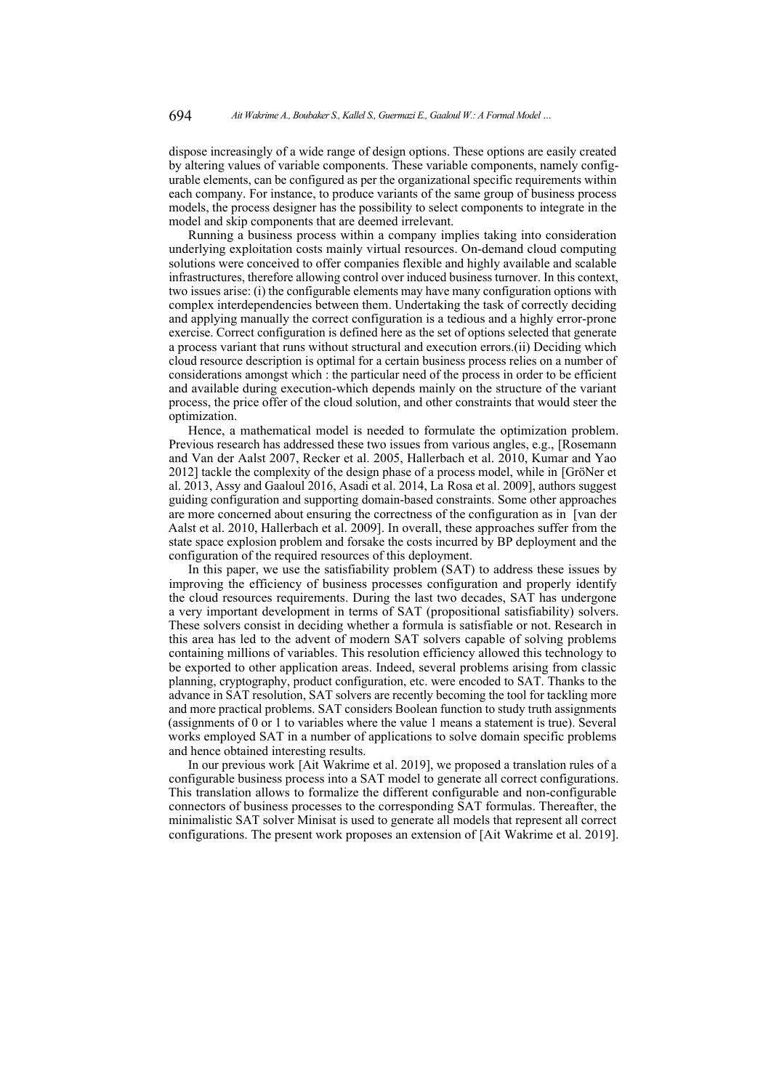dispose increasingly of a wide range of design options. These options are easily created by altering values of variable components. These variable components, namely configurable elements, can be configured as per the organizational specific requirements within each company. For instance, to produce variants of the same group of business process models, the process designer has the possibility to select components to integrate in the model and skip components that are deemed irrelevant.

Running a business process within a company implies taking into consideration underlying exploitation costs mainly virtual resources. On-demand cloud computing solutions were conceived to offer companies flexible and highly available and scalable infrastructures, therefore allowing control over induced business turnover. In this context, two issues arise: (i) the configurable elements may have many configuration options with complex interdependencies between them. Undertaking the task of correctly deciding and applying manually the correct configuration is a tedious and a highly error-prone exercise. Correct configuration is defined here as the set of options selected that generate a process variant that runs without structural and execution errors.(ii) Deciding which cloud resource description is optimal for a certain business process relies on a number of considerations amongst which : the particular need of the process in order to be efficient and available during execution-which depends mainly on the structure of the variant process, the price offer of the cloud solution, and other constraints that would steer the optimization.

Hence, a mathematical model is needed to formulate the optimization problem. Previous research has addressed these two issues from various angles, e.g., [\[Rosemann](#page-19-0) [and Van der Aalst 2007,](#page-19-0) [Recker et al. 2005,](#page-19-1) [Hallerbach et al. 2010,](#page-19-2) [Kumar and Yao](#page-19-3) [2012\]](#page-19-3) tackle the complexity of the design phase of a process model, while in [\[GröNer et](#page-19-4) [al. 2013,](#page-19-4) [Assy and Gaaloul 2016,](#page-18-0) [Asadi et al. 2014,](#page-18-1) [La Rosa et al. 2009\]](#page-19-5), authors suggest guiding configuration and supporting domain-based constraints. Some other approaches are more concerned about ensuring the correctness of the configuration as in [\[van der](#page-20-0) [Aalst et al. 2010,](#page-20-0) [Hallerbach et al. 2009\]](#page-19-6). In overall, these approaches suffer from the state space explosion problem and forsake the costs incurred by BP deployment and the configuration of the required resources of this deployment.

In this paper, we use the satisfiability problem (SAT) to address these issues by improving the efficiency of business processes configuration and properly identify the cloud resources requirements. During the last two decades, SAT has undergone a very important development in terms of SAT (propositional satisfiability) solvers. These solvers consist in deciding whether a formula is satisfiable or not. Research in this area has led to the advent of modern SAT solvers capable of solving problems containing millions of variables. This resolution efficiency allowed this technology to be exported to other application areas. Indeed, several problems arising from classic planning, cryptography, product configuration, etc. were encoded to SAT. Thanks to the advance in SAT resolution, SAT solvers are recently becoming the tool for tackling more and more practical problems. SAT considers Boolean function to study truth assignments (assignments of 0 or 1 to variables where the value 1 means a statement is true). Several works employed SAT in a number of applications to solve domain specific problems and hence obtained interesting results.

In our previous work [\[Ait Wakrime et al. 2019\]](#page-18-2), we proposed a translation rules of a configurable business process into a SAT model to generate all correct configurations. This translation allows to formalize the different configurable and non-configurable connectors of business processes to the corresponding SAT formulas. Thereafter, the minimalistic SAT solver Minisat is used to generate all models that represent all correct configurations. The present work proposes an extension of [\[Ait Wakrime et al. 2019\]](#page-18-2).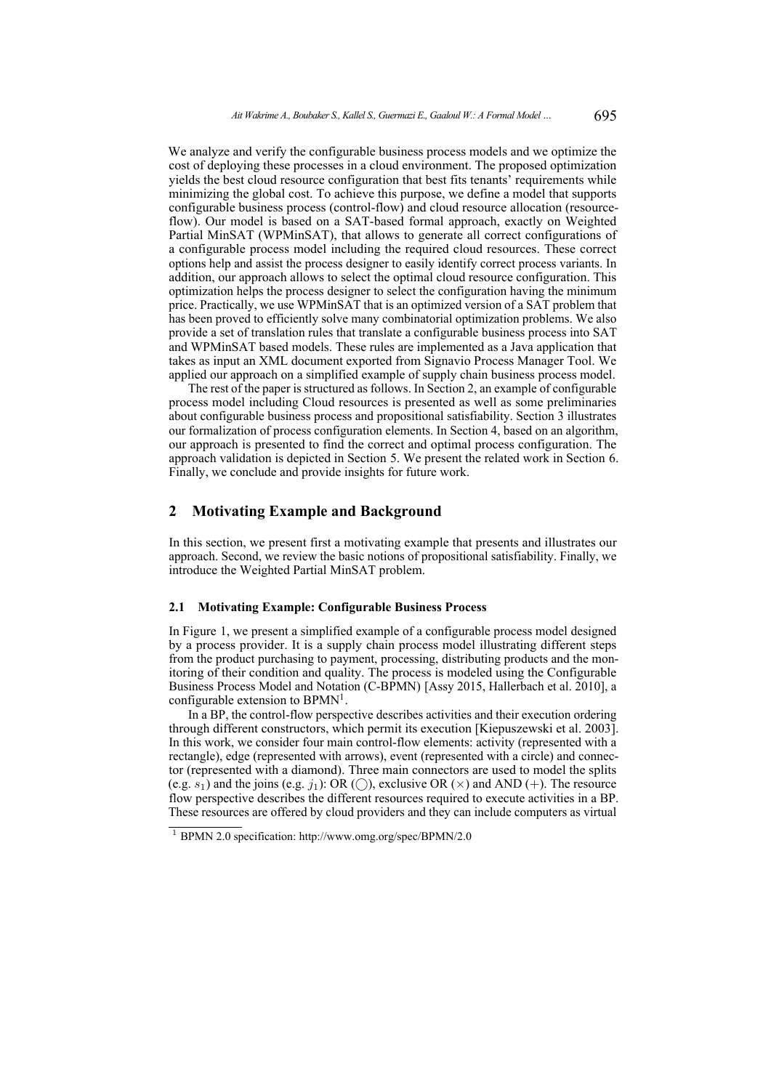We analyze and verify the configurable business process models and we optimize the cost of deploying these processes in a cloud environment. The proposed optimization yields the best cloud resource configuration that best fits tenants' requirements while minimizing the global cost. To achieve this purpose, we define a model that supports configurable business process (control-flow) and cloud resource allocation (resourceflow). Our model is based on a SAT-based formal approach, exactly on Weighted Partial MinSAT (WPMinSAT), that allows to generate all correct configurations of a configurable process model including the required cloud resources. These correct options help and assist the process designer to easily identify correct process variants. In addition, our approach allows to select the optimal cloud resource configuration. This optimization helps the process designer to select the configuration having the minimum price. Practically, we use WPMinSAT that is an optimized version of a SAT problem that has been proved to efficiently solve many combinatorial optimization problems. We also provide a set of translation rules that translate a configurable business process into SAT and WPMinSAT based models. These rules are implemented as a Java application that takes as input an XML document exported from Signavio Process Manager Tool. We applied our approach on a simplified example of supply chain business process model.

The rest of the paper is structured as follows. In Section [2,](#page-2-0) an example of configurable process model including Cloud resources is presented as well as some preliminaries about configurable business process and propositional satisfiability. Section [3](#page-5-0) illustrates our formalization of process configuration elements. In Section [4,](#page-9-0) based on an algorithm, our approach is presented to find the correct and optimal process configuration. The approach validation is depicted in Section [5.](#page-13-0) We present the related work in Section [6.](#page-16-0) Finally, we conclude and provide insights for future work.

## <span id="page-2-0"></span>**2 Motivating Example and Background**

In this section, we present first a motivating example that presents and illustrates our approach. Second, we review the basic notions of propositional satisfiability. Finally, we introduce the Weighted Partial MinSAT problem.

# **2.1 Motivating Example: Configurable Business Process**

In Figure [1,](#page-3-0) we present a simplified example of a configurable process model designed by a process provider. It is a supply chain process model illustrating different steps from the product purchasing to payment, processing, distributing products and the monitoring of their condition and quality. The process is modeled using the Configurable Business Process Model and Notation (C-BPMN) [\[Assy 2015,](#page-18-3) [Hallerbach et al. 2010\]](#page-19-2), a configurable extension to BPMN<sup>[1](#page-20-1)</sup>.

In a BP, the control-flow perspective describes activities and their execution ordering through different constructors, which permit its execution [\[Kiepuszewski et al. 2003\]](#page-19-7). In this work, we consider four main control-flow elements: activity (represented with a rectangle), edge (represented with arrows), event (represented with a circle) and connector (represented with a diamond). Three main connectors are used to model the splits (e.g.  $s_1$ ) and the joins (e.g.  $i_1$ ): OR (()), exclusive OR ( $\times$ ) and AND (+). The resource flow perspective describes the different resources required to execute activities in a BP. These resources are offered by cloud providers and they can include computers as virtual

<sup>1</sup> BPMN 2.0 specification: http://www.omg.org/spec/BPMN/2.0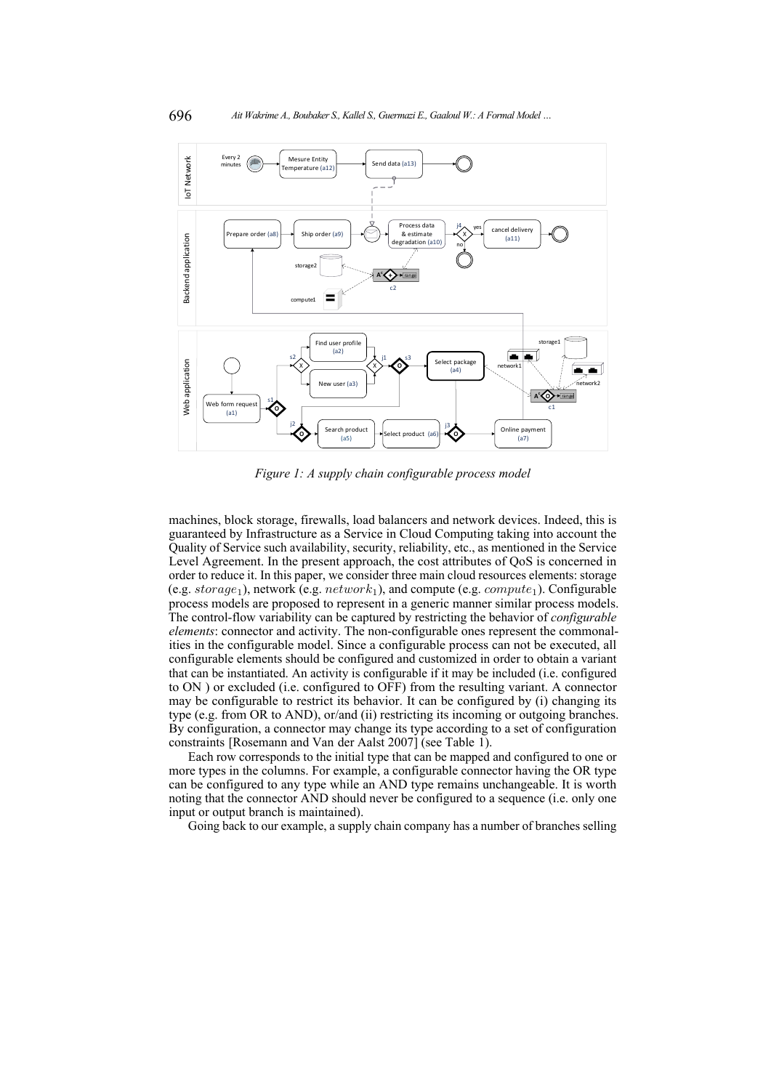<span id="page-3-0"></span>

*Figure 1: A supply chain configurable process model*

machines, block storage, firewalls, load balancers and network devices. Indeed, this is guaranteed by Infrastructure as a Service in Cloud Computing taking into account the Quality of Service such availability, security, reliability, etc., as mentioned in the Service Level Agreement. In the present approach, the cost attributes of QoS is concerned in order to reduce it. In this paper, we consider three main cloud resources elements: storage (e.g.  $storage_1$ ), network (e.g.  $network_1$ ), and compute (e.g.  $compute_1$ ). Configurable process models are proposed to represent in a generic manner similar process models. The control-flow variability can be captured by restricting the behavior of *configurable elements*: connector and activity. The non-configurable ones represent the commonalities in the configurable model. Since a configurable process can not be executed, all configurable elements should be configured and customized in order to obtain a variant that can be instantiated. An activity is configurable if it may be included (i.e. configured to ON ) or excluded (i.e. configured to OFF) from the resulting variant. A connector may be configurable to restrict its behavior. It can be configured by (i) changing its type (e.g. from OR to AND), or/and (ii) restricting its incoming or outgoing branches. By configuration, a connector may change its type according to a set of configuration constraints [\[Rosemann and Van der Aalst 2007\]](#page-19-0) (see Table [1\)](#page-4-0).

Each row corresponds to the initial type that can be mapped and configured to one or more types in the columns. For example, a configurable connector having the OR type can be configured to any type while an AND type remains unchangeable. It is worth noting that the connector AND should never be configured to a sequence (i.e. only one input or output branch is maintained).

Going back to our example, a supply chain company has a number of branches selling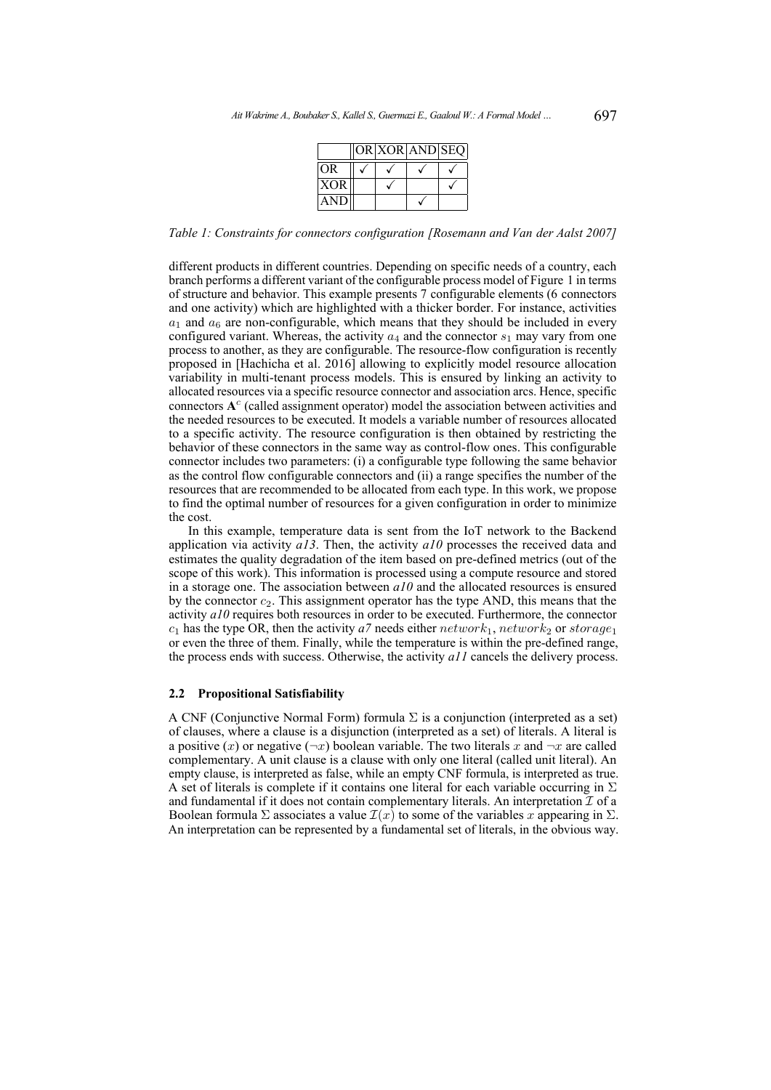|            |  | OR XOR AND SEQ |  |
|------------|--|----------------|--|
| <b>OR</b>  |  |                |  |
| <b>XOR</b> |  |                |  |
| AN.        |  |                |  |

<span id="page-4-0"></span>*Table 1: Constraints for connectors configuration [\[Rosemann and Van der Aalst 2007\]](#page-19-0)*

different products in different countries. Depending on specific needs of a country, each branch performs a different variant of the configurable process model of Figure [1](#page-3-0) in terms of structure and behavior. This example presents 7 configurable elements (6 connectors and one activity) which are highlighted with a thicker border. For instance, activities  $a_1$  and  $a_6$  are non-configurable, which means that they should be included in every configured variant. Whereas, the activity  $a_4$  and the connector  $s_1$  may vary from one process to another, as they are configurable. The resource-flow configuration is recently proposed in [\[Hachicha et al. 2016\]](#page-19-8) allowing to explicitly model resource allocation variability in multi-tenant process models. This is ensured by linking an activity to allocated resources via a specific resource connector and association arcs. Hence, specific connectors **A** c (called assignment operator) model the association between activities and the needed resources to be executed. It models a variable number of resources allocated to a specific activity. The resource configuration is then obtained by restricting the behavior of these connectors in the same way as control-flow ones. This configurable connector includes two parameters: (i) a configurable type following the same behavior as the control flow configurable connectors and (ii) a range specifies the number of the resources that are recommended to be allocated from each type. In this work, we propose to find the optimal number of resources for a given configuration in order to minimize the cost.

In this example, temperature data is sent from the IoT network to the Backend application via activity *a13*. Then, the activity *a10* processes the received data and estimates the quality degradation of the item based on pre-defined metrics (out of the scope of this work). This information is processed using a compute resource and stored in a storage one. The association between *a10* and the allocated resources is ensured by the connector  $c_2$ . This assignment operator has the type AND, this means that the activity *a10* requires both resources in order to be executed. Furthermore, the connector  $c_1$  has the type OR, then the activity *a*7 needs either network<sub>1</sub>, network<sub>2</sub> or storage<sub>1</sub> or even the three of them. Finally, while the temperature is within the pre-defined range, the process ends with success. Otherwise, the activity *a11* cancels the delivery process.

### **2.2 Propositional Satisfiability**

A CNF (Conjunctive Normal Form) formula  $\Sigma$  is a conjunction (interpreted as a set) of clauses, where a clause is a disjunction (interpreted as a set) of literals. A literal is a positive (x) or negative ( $\neg x$ ) boolean variable. The two literals x and  $\neg x$  are called complementary. A unit clause is a clause with only one literal (called unit literal). An empty clause, is interpreted as false, while an empty CNF formula, is interpreted as true. A set of literals is complete if it contains one literal for each variable occurring in  $\Sigma$ and fundamental if it does not contain complementary literals. An interpretation  $\overline{\mathcal{I}}$  of a Boolean formula Σ associates a value  $\mathcal{I}(x)$  to some of the variables x appearing in Σ. An interpretation can be represented by a fundamental set of literals, in the obvious way.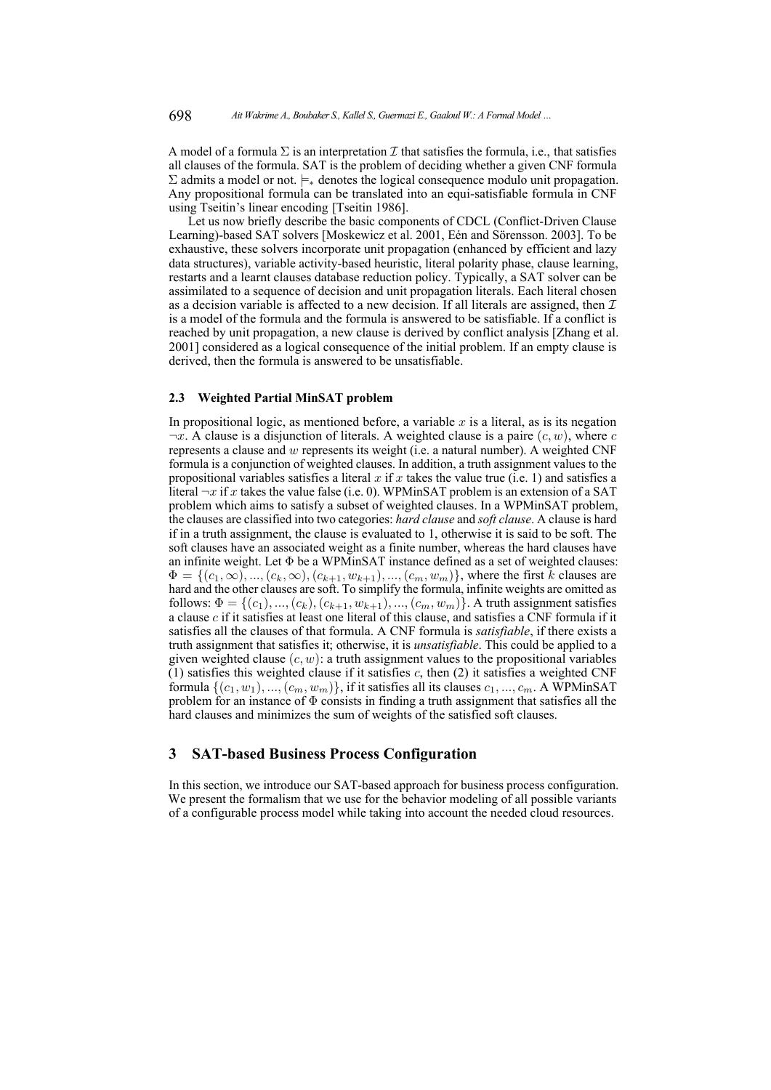A model of a formula  $\Sigma$  is an interpretation  $\mathcal I$  that satisfies the formula, i.e., that satisfies all clauses of the formula. SAT is the problem of deciding whether a given CNF formula  $\Sigma$  admits a model or not.  $\models_{*}$  denotes the logical consequence modulo unit propagation. Any propositional formula can be translated into an equi-satisfiable formula in CNF using Tseitin's linear encoding [\[Tseitin 1986\]](#page-19-9).

Let us now briefly describe the basic components of CDCL (Conflict-Driven Clause Learning)-based SAT solvers [\[Moskewicz et al. 2001,](#page-19-10) [Eén and Sörensson. 2003\]](#page-18-4). To be exhaustive, these solvers incorporate unit propagation (enhanced by efficient and lazy data structures), variable activity-based heuristic, literal polarity phase, clause learning, restarts and a learnt clauses database reduction policy. Typically, a SAT solver can be assimilated to a sequence of decision and unit propagation literals. Each literal chosen as a decision variable is affected to a new decision. If all literals are assigned, then  $\mathcal I$ is a model of the formula and the formula is answered to be satisfiable. If a conflict is reached by unit propagation, a new clause is derived by conflict analysis [\[Zhang et al.](#page-20-2) [2001\]](#page-20-2) considered as a logical consequence of the initial problem. If an empty clause is derived, then the formula is answered to be unsatisfiable.

#### **2.3 Weighted Partial MinSAT problem**

In propositional logic, as mentioned before, a variable  $x$  is a literal, as is its negation  $\neg x$ . A clause is a disjunction of literals. A weighted clause is a paire  $(c, w)$ , where c represents a clause and w represents its weight (i.e. a natural number). A weighted CNF formula is a conjunction of weighted clauses. In addition, a truth assignment values to the propositional variables satisfies a literal x if x takes the value true (i.e. 1) and satisfies a literal  $\neg x$  if x takes the value false (i.e. 0). WPMinSAT problem is an extension of a SAT problem which aims to satisfy a subset of weighted clauses. In a WPMinSAT problem, the clauses are classified into two categories: *hard clause* and *soft clause*. A clause is hard if in a truth assignment, the clause is evaluated to 1, otherwise it is said to be soft. The soft clauses have an associated weight as a finite number, whereas the hard clauses have an infinite weight. Let  $\Phi$  be a WPMinSAT instance defined as a set of weighted clauses:  $\Phi = \{(c_1, \infty), ..., (c_k, \infty), (c_{k+1}, w_{k+1}), ..., (c_m, w_m)\}\$ , where the first k clauses are hard and the other clauses are soft. To simplify the formula, infinite weights are omitted as follows:  $\Phi = \{(c_1), ..., (c_k), (c_{k+1}, w_{k+1}), ..., (c_m, w_m)\}$ . A truth assignment satisfies a clause  $c$  if it satisfies at least one literal of this clause, and satisfies a CNF formula if it satisfies all the clauses of that formula. A CNF formula is *satisfiable*, if there exists a truth assignment that satisfies it; otherwise, it is *unsatisfiable*. This could be applied to a given weighted clause  $(c, w)$ : a truth assignment values to the propositional variables  $(1)$  satisfies this weighted clause if it satisfies c, then  $(2)$  it satisfies a weighted CNF formula  $\{(c_1, w_1), ..., (c_m, w_m)\}\$ , if it satisfies all its clauses  $c_1, ..., c_m$ . A WPMinSAT problem for an instance of  $\Phi$  consists in finding a truth assignment that satisfies all the hard clauses and minimizes the sum of weights of the satisfied soft clauses.

## <span id="page-5-0"></span>**3 SAT-based Business Process Configuration**

In this section, we introduce our SAT-based approach for business process configuration. We present the formalism that we use for the behavior modeling of all possible variants of a configurable process model while taking into account the needed cloud resources.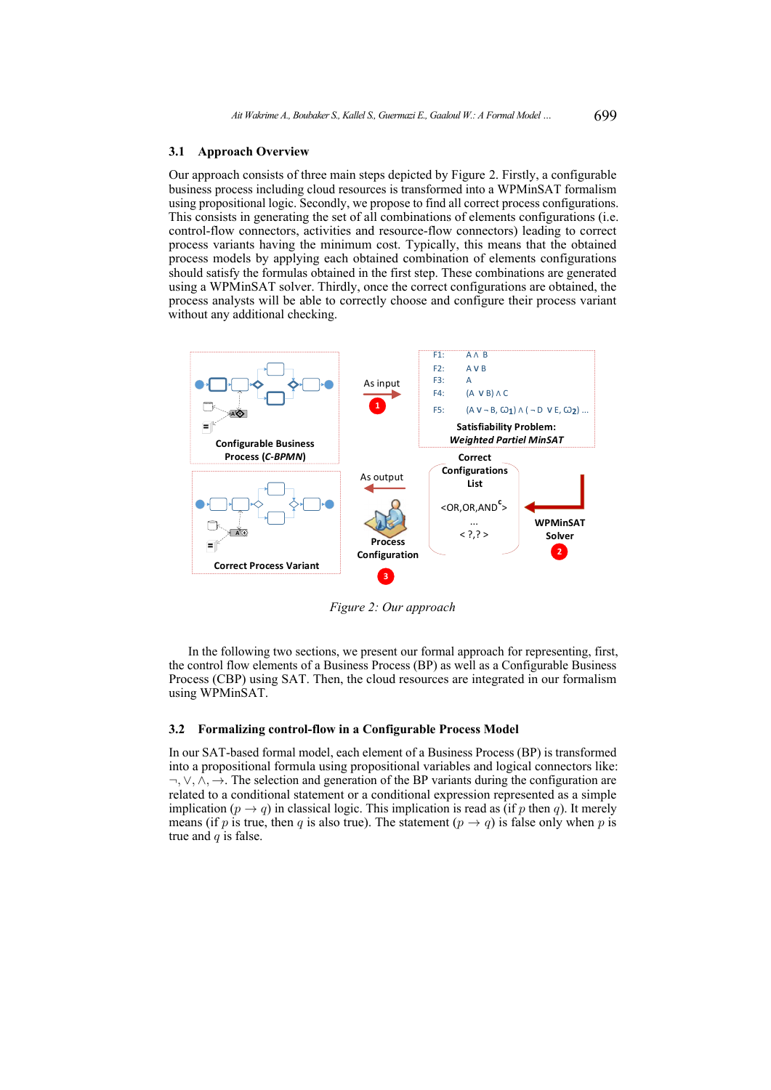#### **3.1 Approach Overview**

Our approach consists of three main steps depicted by Figure [2.](#page-6-0) Firstly, a configurable business process including cloud resources is transformed into a WPMinSAT formalism using propositional logic. Secondly, we propose to find all correct process configurations. This consists in generating the set of all combinations of elements configurations (i.e. control-flow connectors, activities and resource-flow connectors) leading to correct process variants having the minimum cost. Typically, this means that the obtained process models by applying each obtained combination of elements configurations should satisfy the formulas obtained in the first step. These combinations are generated using a WPMinSAT solver. Thirdly, once the correct configurations are obtained, the process analysts will be able to correctly choose and configure their process variant without any additional checking.

<span id="page-6-0"></span>

*Figure 2: Our approach*

In the following two sections, we present our formal approach for representing, first, the control flow elements of a Business Process (BP) as well as a Configurable Business Process (CBP) using SAT. Then, the cloud resources are integrated in our formalism using WPMinSAT.

#### **3.2 Formalizing control-flow in a Configurable Process Model**

In our SAT-based formal model, each element of a Business Process (BP) is transformed into a propositional formula using propositional variables and logical connectors like:  $\neg, \vee, \wedge, \rightarrow$ . The selection and generation of the BP variants during the configuration are related to a conditional statement or a conditional expression represented as a simple implication ( $p \rightarrow q$ ) in classical logic. This implication is read as (if p then q). It merely means (if p is true, then q is also true). The statement ( $p \rightarrow q$ ) is false only when p is true and  $q$  is false.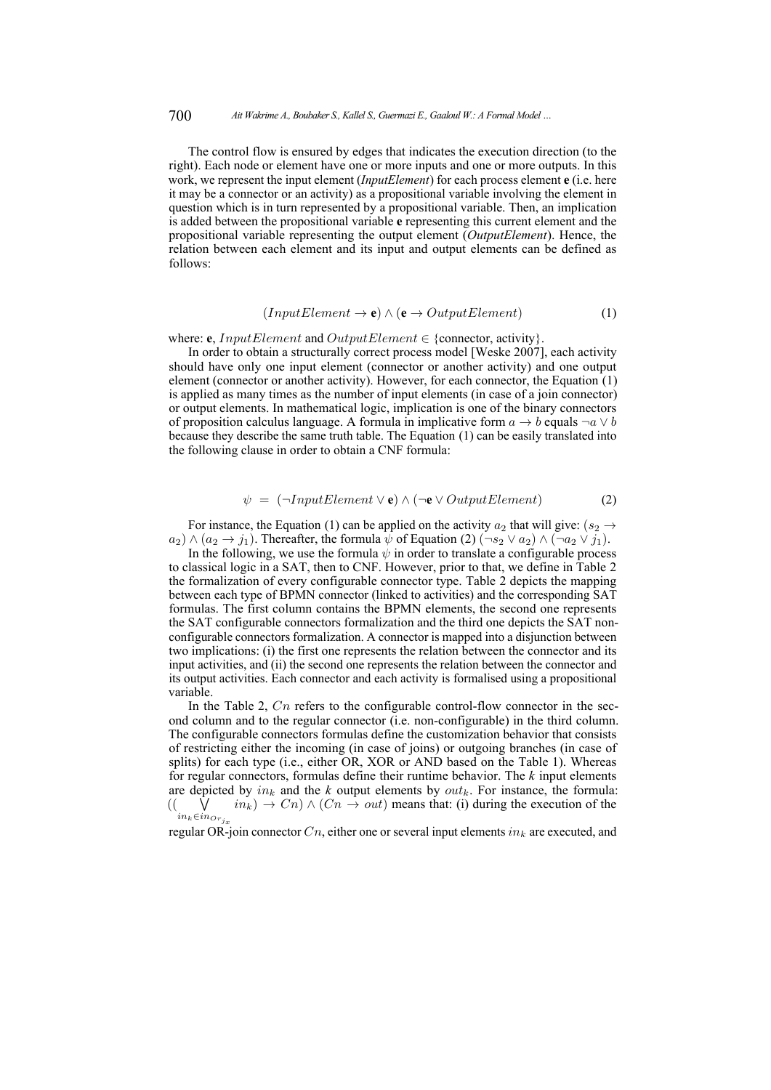The control flow is ensured by edges that indicates the execution direction (to the right). Each node or element have one or more inputs and one or more outputs. In this work, we represent the input element (*InputElement*) for each process element **e** (i.e. here it may be a connector or an activity) as a propositional variable involving the element in question which is in turn represented by a propositional variable. Then, an implication is added between the propositional variable **e** representing this current element and the propositional variable representing the output element (*OutputElement*). Hence, the relation between each element and its input and output elements can be defined as follows:

$$
(InputElement \to \mathbf{e}) \land (\mathbf{e} \to OutputElement) \tag{1}
$$

#### <span id="page-7-0"></span>where: **e**, *InputElement* and *OutputElement*  $\in$  {connector, activity}.

In order to obtain a structurally correct process model [\[Weske 2007\]](#page-20-3), each activity should have only one input element (connector or another activity) and one output element (connector or another activity). However, for each connector, the Equation [\(1\)](#page-7-0) is applied as many times as the number of input elements (in case of a join connector) or output elements. In mathematical logic, implication is one of the binary connectors of proposition calculus language. A formula in implicative form  $a \rightarrow b$  equals  $\neg a \lor b$ because they describe the same truth table. The Equation [\(1\)](#page-7-0) can be easily translated into the following clause in order to obtain a CNF formula:

$$
\psi = (\neg InputElement \lor \mathbf{e}) \land (\neg \mathbf{e} \lor OutputElement) \tag{2}
$$

<span id="page-7-1"></span>For instance, the Equation [\(1\)](#page-7-0) can be applied on the activity  $a_2$  that will give:  $(s_2 \rightarrow$  $a_2$ )  $\wedge$   $(a_2 \rightarrow j_1)$ . Thereafter, the formula  $\psi$  of Equation [\(2\)](#page-7-1)  $(\neg s_2 \vee a_2) \wedge (\neg a_2 \vee j_1)$ .

In the following, we use the formula  $\psi$  in order to translate a configurable process to classical logic in a SAT, then to CNF. However, prior to that, we define in Table [2](#page-10-0) the formalization of every configurable connector type. Table [2](#page-10-0) depicts the mapping between each type of BPMN connector (linked to activities) and the corresponding SAT formulas. The first column contains the BPMN elements, the second one represents the SAT configurable connectors formalization and the third one depicts the SAT nonconfigurable connectors formalization. A connector is mapped into a disjunction between two implications: (i) the first one represents the relation between the connector and its input activities, and (ii) the second one represents the relation between the connector and its output activities. Each connector and each activity is formalised using a propositional variable.

In the Table [2,](#page-10-0)  $C_n$  refers to the configurable control-flow connector in the second column and to the regular connector (i.e. non-configurable) in the third column. The configurable connectors formulas define the customization behavior that consists of restricting either the incoming (in case of joins) or outgoing branches (in case of splits) for each type (i.e., either OR, XOR or AND based on the Table [1\)](#page-4-0). Whereas for regular connectors, formulas define their runtime behavior. The *k* input elements are depicted by  $in_k$  and the  $k$  output elements by  $out_k$ . For instance, the formula:  $\vee$  $in_k \in \mathop{in}o_{r_i}$  $in_k$ )  $\rightarrow$   $C_n$ )  $\land$   $(C_n \rightarrow out)$  means that: (i) during the execution of the

regular OR-join connector  $C_n$ , either one or several input elements  $in_k$  are executed, and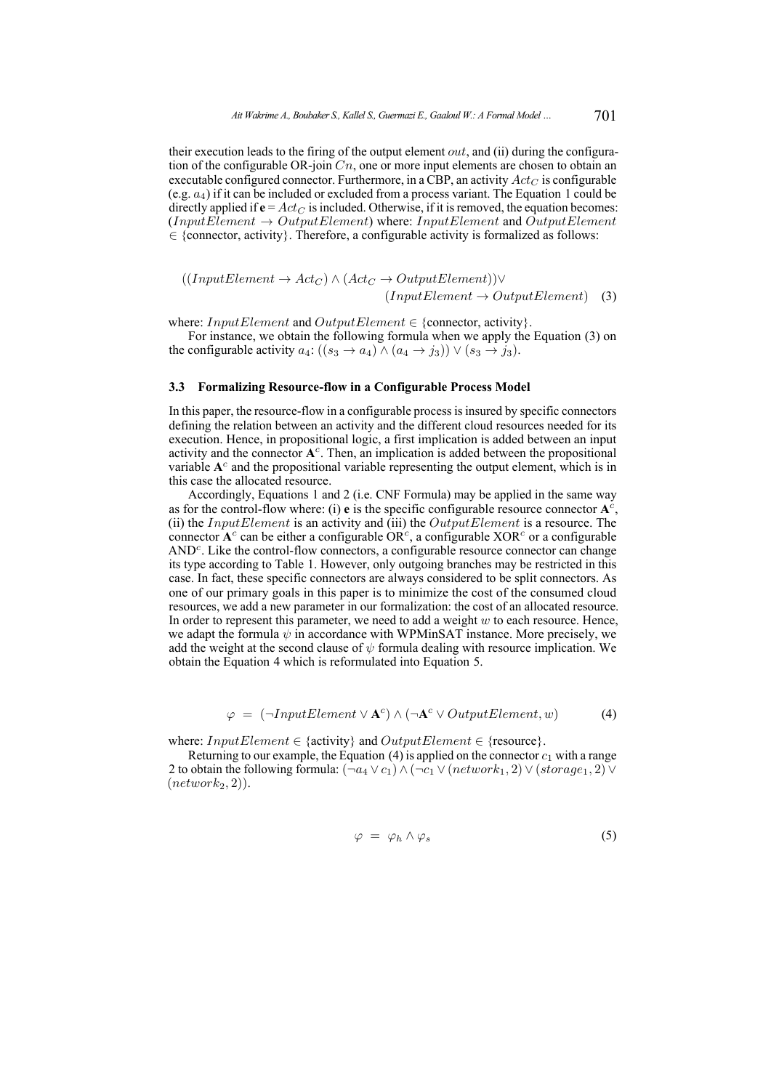their execution leads to the firing of the output element *out*, and (ii) during the configuration of the configurable OR-join  $C_n$ , one or more input elements are chosen to obtain an executable configured connector. Furthermore, in a CBP, an activity  $Act_C$  is configurable (e.g.  $a_4$ ) if it can be included or excluded from a process variant. The Equation [1](#page-7-0) could be directly applied if  $\mathbf{e} = Act_C$  is included. Otherwise, if it is removed, the equation becomes:  $(InputElement \rightarrow OutputElement)$  where: InputElement and OutputElement  $\in$  {connector, activity}. Therefore, a configurable activity is formalized as follows:

<span id="page-8-0"></span>
$$
((InputElement \to Act_C) \land (Act_C \to OutputElement)) \lor (InputElement \to OutputElement) \quad (3)
$$

where: InputElement and OutputElement  $\in$  {connector, activity}.

For instance, we obtain the following formula when we apply the Equation [\(3\)](#page-8-0) on the configurable activity  $a_4$ :  $((s_3 \rightarrow a_4) \land (a_4 \rightarrow j_3)) \lor (s_3 \rightarrow j_3)$ .

#### **3.3 Formalizing Resource-flow in a Configurable Process Model**

In this paper, the resource-flow in a configurable process is insured by specific connectors defining the relation between an activity and the different cloud resources needed for its execution. Hence, in propositional logic, a first implication is added between an input activity and the connector **A** c . Then, an implication is added between the propositional variable A<sup>c</sup> and the propositional variable representing the output element, which is in this case the allocated resource.

Accordingly, Equations [1](#page-7-0) and [2](#page-7-1) (i.e. CNF Formula) may be applied in the same way as for the control-flow where: (i) **e** is the specific configurable resource connector  $A^c$ , (ii) the InputElement is an activity and (iii) the OutputElement is a resource. The connector  $A^c$  can be either a configurable  $OR^c$ , a configurable  $XOR^c$  or a configurable AND<sup>c</sup>. Like the control-flow connectors, a configurable resource connector can change its type according to Table [1.](#page-4-0) However, only outgoing branches may be restricted in this case. In fact, these specific connectors are always considered to be split connectors. As one of our primary goals in this paper is to minimize the cost of the consumed cloud resources, we add a new parameter in our formalization: the cost of an allocated resource. In order to represent this parameter, we need to add a weight  $w$  to each resource. Hence, we adapt the formula  $\psi$  in accordance with WPMinSAT instance. More precisely, we add the weight at the second clause of  $\psi$  formula dealing with resource implication. We obtain the Equation [4](#page-8-1) which is reformulated into Equation [5.](#page-8-2)

$$
\varphi = (\neg InputElement \lor A^c) \land (\neg A^c \lor OutputElement, w)
$$
 (4)

<span id="page-8-1"></span>where:  $InputElement \in \{activity\}$  and  $OutputElement \in \{resource\}.$ 

<span id="page-8-2"></span>Returning to our example, the Equation [\(4\)](#page-8-1) is applied on the connector  $c_1$  with a range 2 to obtain the following formula:  $(\neg a_4 \lor c_1) \land (\neg c_1 \lor (network_1, 2) \lor (storage_1, 2) \lor$  $(network<sub>2</sub>, 2)).$ 

$$
\varphi = \varphi_h \wedge \varphi_s \tag{5}
$$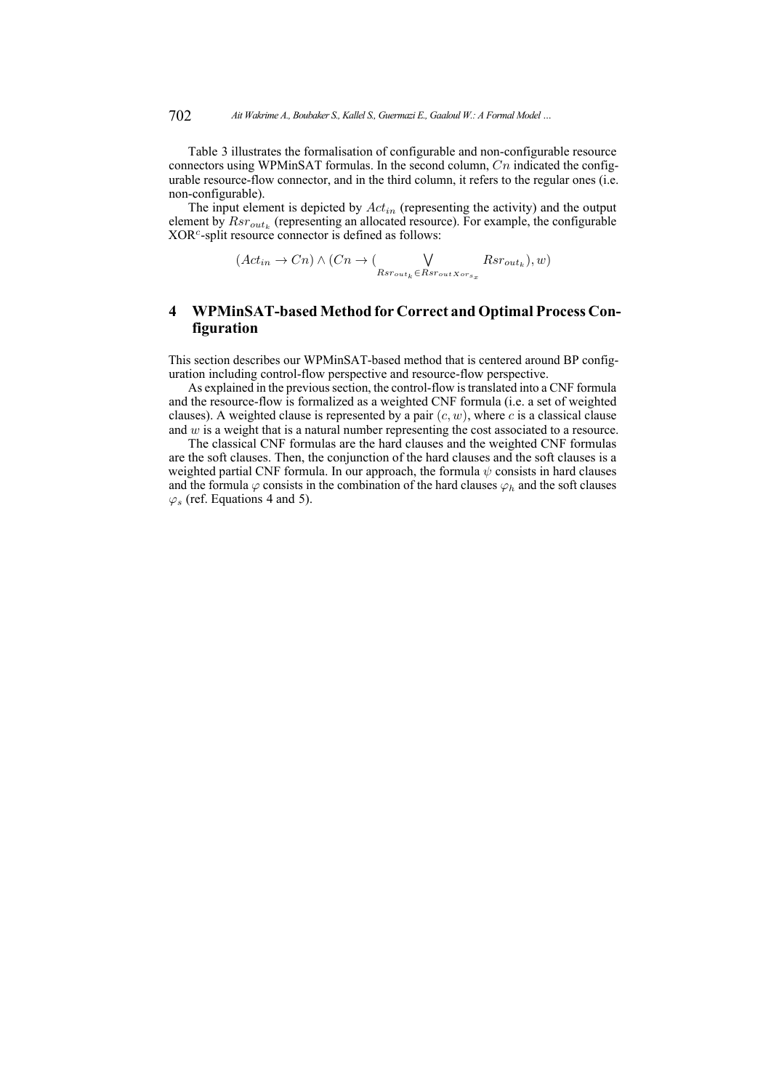Table [3](#page-11-0) illustrates the formalisation of configurable and non-configurable resource connectors using WPMinSAT formulas. In the second column,  $C_n$  indicated the configurable resource-flow connector, and in the third column, it refers to the regular ones (i.e. non-configurable).

The input element is depicted by  $Act_{in}$  (representing the activity) and the output element by  $Rsr_{out_k}$  (representing an allocated resource). For example, the configurable XOR<sup>c</sup>-split resource connector is defined as follows:

$$
(Act_{in} \to Cn) \land (Cn \to (\bigvee_{Rsr_{out_k} \in Rsr_{outXors_x}} Rsr_{out_k}), w)
$$

# <span id="page-9-0"></span>**4 WPMinSAT-based Method for Correct and Optimal Process Configuration**

This section describes our WPMinSAT-based method that is centered around BP configuration including control-flow perspective and resource-flow perspective.

As explained in the previous section, the control-flow is translated into a CNF formula and the resource-flow is formalized as a weighted CNF formula (i.e. a set of weighted clauses). A weighted clause is represented by a pair  $(c, w)$ , where c is a classical clause and w is a weight that is a natural number representing the cost associated to a resource.

The classical CNF formulas are the hard clauses and the weighted CNF formulas are the soft clauses. Then, the conjunction of the hard clauses and the soft clauses is a weighted partial CNF formula. In our approach, the formula  $\psi$  consists in hard clauses and the formula  $\varphi$  consists in the combination of the hard clauses  $\varphi_h$  and the soft clauses  $\varphi$ <sub>s</sub> (ref. Equations [4](#page-8-1) and [5\)](#page-8-2).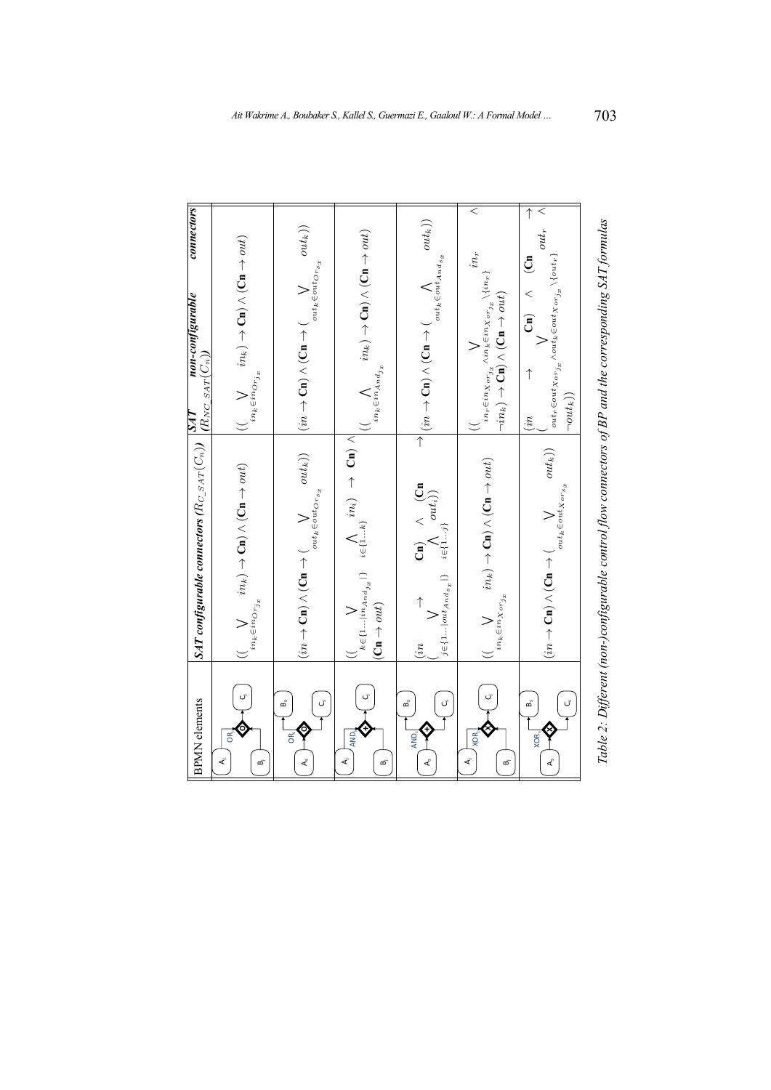<span id="page-10-0"></span>

| connectors<br>non-configurable                                                                                                                                                                | $\begin{array}{ll} \displaystyle (\bigvee_{in_k \in in_{{\cal O}}_{\mathcal{T}_{j_x}}} in_k) \rightarrow {\bf Ch} \wedge ({\bf Ch} \rightarrow out) \end{array}$ |                                                                                                                                                                                                              | $\bigwedge_{in_k \in in_{And_{j_x}}} in_k) \rightarrow \textbf{Cn}) \land (\textbf{Cn} \rightarrow out)$                                                                                     | $\overrightarrow{\hspace{0.5cm}}^{\hspace{0.5cm} \rightarrow}(in \rightarrow \mathsf{Cn}) \wedge (\mathsf{Cn} \rightarrow (\bigwedge_{out_k \in out_{And_{\sigma_x}}} out_k))$                                      | $\leq$<br>$in_r$<br>$\begin{array}{l} in_{\tau}\in in_{X}or_{j_{x}}\wedge in_{k}\in in_{X}or_{j_{x}}\backslash\{in_{\tau}\}\\ \neg in_{k})\rightarrow\mathbf{Cn})\wedge\left(\mathbf{Cn}\rightarrow out\right) \end{array}$ | $out_r$ $\wedge$<br>$\begin{pmatrix} Cn \end{pmatrix}$ $\wedge$ $(Cn)$<br>$\label{eq:outr} out_r\!\in\!\!out_{X\mathit{orj}_x}\!\land\!out_k\!\!\in\!\!out_{X\mathit{orj}_x}\!\backslash\!\{\mathit{out}_r\}$<br>$\lnot out_k))$<br>(in) |
|-----------------------------------------------------------------------------------------------------------------------------------------------------------------------------------------------|------------------------------------------------------------------------------------------------------------------------------------------------------------------|--------------------------------------------------------------------------------------------------------------------------------------------------------------------------------------------------------------|----------------------------------------------------------------------------------------------------------------------------------------------------------------------------------------------|---------------------------------------------------------------------------------------------------------------------------------------------------------------------------------------------------------------------|-----------------------------------------------------------------------------------------------------------------------------------------------------------------------------------------------------------------------------|------------------------------------------------------------------------------------------------------------------------------------------------------------------------------------------------------------------------------------------|
| $\mathit{SAT\_config} \textit{urable} \textit{connectors} \left( R_{C\_S \textit{AT}}(C_n) \right) \begin{array}{l} \mid SAT \\ \mid R_{NC\_SAT}(C_n) \rangle \end{array} \textit{non-const}$ | $\bigvee_{in_k \in in_{\mathcal{O}\cap j_{x}}}\hspace{-10pt} m \rightarrow \mathbf{C}\mathbf{n} \bigwedge (\mathbf{C}\mathbf{n} \rightarrow out)$                | $(in\rightarrow {\bf Cn})\wedge ({\bf Cn}\rightarrow (\bigvee_{out_k\in out_{{\cal O}^{\pi_{s_x}}}})~~(in\rightarrow {\bf Cn})\wedge ({\bf Cn}\rightarrow (\bigvee_{out_k\in out_{{\cal O}^{\pi_{s_x}}}})\\$ | $\begin{array}{ccc} &\big((\quad &\bigvee_{k\in\{1\dots in_{A_{n}d_{j_{x}}} \}}&\bigwedge_{i\in\{1\dots k\}}in\{n_{i}\}\end{array}\rightarrow\mathbf{Cn})\ \wedge$<br>$(Cn \rightarrow out)$ | $\begin{array}{ccc} (in & \longrightarrow & \mathbf{Cn}) & \wedge & (\mathbf{Cn} \\ (\forall & \forall & \mathbf{Cn} \\ j \in \{1 \dots   out_{And_{\mathcal{S}_x}}   \} & i \in \{1 \dots j\} \end{array}$<br>(in) | $\begin{array}{ll} & \big((\quad \quad \  \  \, & in_k) \rightarrow {\bf Cn}) \wedge ({\bf Cn} \rightarrow out) \\ & \\ & \big((\quad \quad \  \  \, & in_k \in in_X \circ r_{j_x} \end{array}$                             | $out_k)$<br>$_{out_k \in out_{X \cdot or_{s_x}}}$<br>$\sum_{i=1}^{n}$ $\sum_{i=1}^{n}$ $\sum_{i=1}^{n}$ $\sum_{i=1}^{n}$ $\sum_{i=1}^{n}$ $\sum_{i=1}^{n}$                                                                               |
| <b>BPMN</b> elements                                                                                                                                                                          | $\overline{G}$<br>$\vec{A}$<br>ക്                                                                                                                                | <u>َ</u> ّ<br>മ്<br>OŘ,<br>$\mathsf{A}_{s}$                                                                                                                                                                  | $\sigma$<br>AND <sub>i</sub><br>$\overline{A}$<br>œī                                                                                                                                         | ٌن<br>ക്<br>AND <sub>«</sub><br>$\mathcal{A}_{\zeta}$                                                                                                                                                               | $\overline{C}$<br>XOR.<br>$\overline{A}$<br>ക്                                                                                                                                                                              | മ്<br>XOR <sub>s</sub><br>$\mathbf{A}_{\rho}$                                                                                                                                                                                            |

| !<br>ג<br>l<br>١     |
|----------------------|
|                      |
| l                    |
|                      |
|                      |
| ו<br>ו               |
|                      |
|                      |
| l                    |
|                      |
|                      |
| )                    |
|                      |
|                      |
| $\ddot{\phantom{0}}$ |
|                      |
| .<br>E               |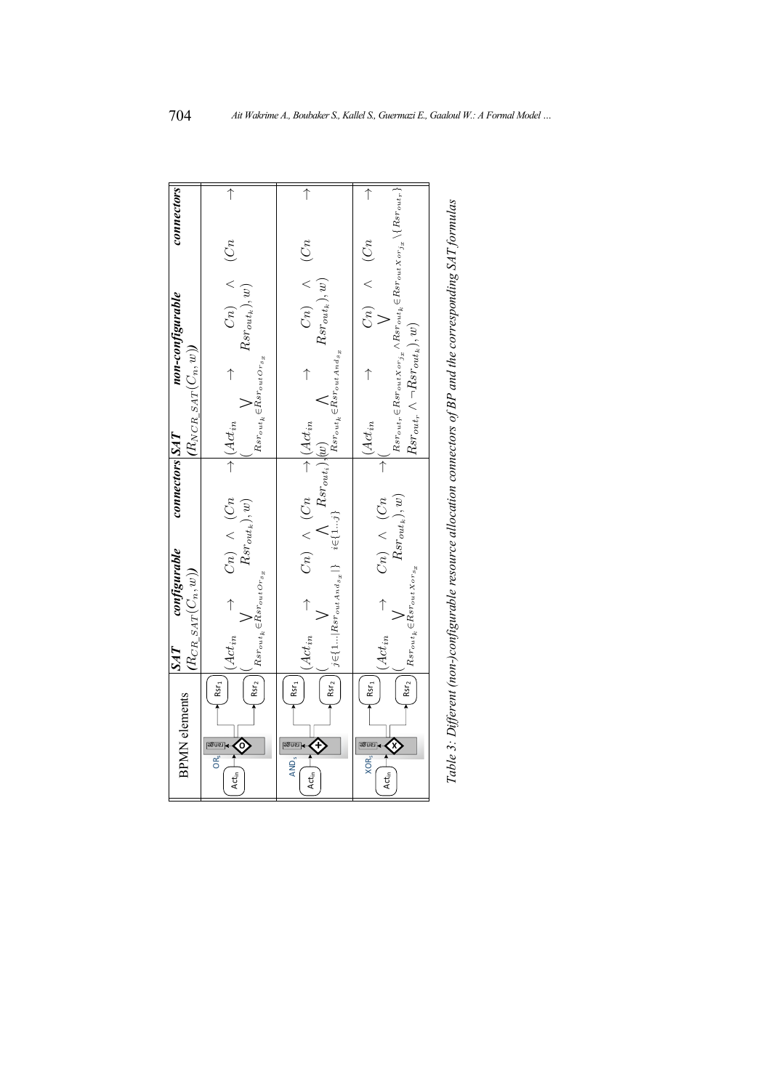<span id="page-11-0"></span>

| <b>BPMN</b> elements                                                                   | SAT        | configurable                                                                                                                                                     | convectors SAT        |                                                                                                                         | non-configurable                                                                                                                                                                        | connectors |
|----------------------------------------------------------------------------------------|------------|------------------------------------------------------------------------------------------------------------------------------------------------------------------|-----------------------|-------------------------------------------------------------------------------------------------------------------------|-----------------------------------------------------------------------------------------------------------------------------------------------------------------------------------------|------------|
|                                                                                        |            | $(R_{CR\_SAT}(C_n, w))$                                                                                                                                          |                       | $(R_{NCR\_SAT}(C_n, w))$                                                                                                |                                                                                                                                                                                         |            |
| Rsr <sub>2</sub><br>Rsr <sub>1</sub><br>0)<br>OR<br>Act <sub>in</sub> 1                | $Act_{in}$ | $\rightarrow \begin{array}{cc} Cn) & \wedge & (Cn \\ Rsr_{out_k}), w) \end{array}$<br>$Rsr_{out_k} \!\in\!\!Rsr_{out}or_{s_x}$                                   |                       | $Rsr_{out_k} \!\in\! Rsr_{out} \!\scriptstyle\mathop{\mathcal{O}rs}\nolimits_x$<br>$\rightarrow$ $ \mathcal{A}ct_{in} $ | $C_n$ $\wedge$ $(C_n$<br>$Rsr_{out_k}),w)$                                                                                                                                              | ↑          |
| RST <sub>2</sub><br>Rsr <sub>1</sub><br>AND,<br>Act <sub>in</sub>                      |            |                                                                                                                                                                  |                       |                                                                                                                         | $\begin{array}{ccc} Cn) & \wedge & (Cn \\ Rsr_{out_k}), w) & \end{array}$                                                                                                               | $\uparrow$ |
| Rsr <sub>2</sub><br>Rsr <sub>1</sub><br><u>agnst</u><br>$XOR_{s}$<br>Act <sub>in</sub> | $Act_{in}$ | $\begin{array}{ccc} Cn) & \wedge & (Cn & \ Rsr_{out_k}), w) \end{array}$<br>$Rs_{\mathit{rout}_k} {\in} Rs_{\mathit{rout} \, X or_{\mathit{S_x}}}$<br>$\uparrow$ | $\overline{\uparrow}$ | $Rsr_{out_r} \wedge \neg Rsr_{out_k}), w)$<br>$Act_{in}$                                                                | $Rs r_{out_r} \!\in\!\!Rs r_{out} x_{orj_x} \land Rs r_{outk} \!\in\!\!Rs r_{out} x_{orj_x} \backslash \{Rs r_{outr}\}$<br>$\begin{array}{ccc} Cn) & \wedge & (Cn \\ V & & \end{array}$ | $\uparrow$ |
|                                                                                        |            |                                                                                                                                                                  |                       |                                                                                                                         |                                                                                                                                                                                         |            |

| ì                    |  |
|----------------------|--|
|                      |  |
|                      |  |
|                      |  |
|                      |  |
|                      |  |
|                      |  |
| $\ddot{\phantom{a}}$ |  |
|                      |  |
|                      |  |
|                      |  |
|                      |  |
|                      |  |
|                      |  |
|                      |  |
| ı                    |  |
|                      |  |
|                      |  |
|                      |  |
|                      |  |
|                      |  |
|                      |  |
|                      |  |
|                      |  |
|                      |  |
|                      |  |
| i<br>i               |  |
| ١                    |  |
|                      |  |
| ۲<br>تار             |  |
|                      |  |
|                      |  |
|                      |  |
|                      |  |
|                      |  |
|                      |  |
|                      |  |
|                      |  |
|                      |  |
| ١                    |  |
| ï                    |  |
|                      |  |
|                      |  |
|                      |  |
|                      |  |
|                      |  |
|                      |  |
|                      |  |
|                      |  |
|                      |  |
|                      |  |
|                      |  |
|                      |  |
|                      |  |
|                      |  |
|                      |  |
| )                    |  |
|                      |  |
|                      |  |
|                      |  |
|                      |  |
|                      |  |
|                      |  |
|                      |  |
|                      |  |
|                      |  |
|                      |  |
|                      |  |
|                      |  |
| Ĵ<br>š               |  |
| l<br>Ì               |  |
|                      |  |
|                      |  |
| l                    |  |
|                      |  |
| ĭ                    |  |
| アベム                  |  |
|                      |  |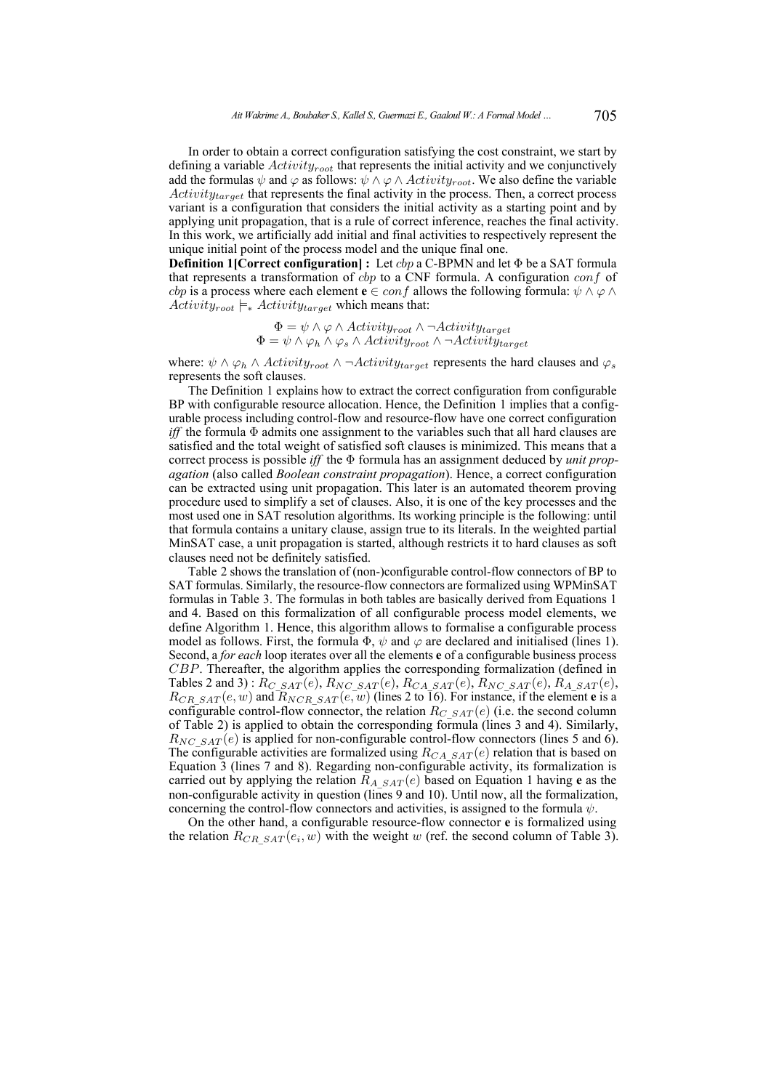In order to obtain a correct configuration satisfying the cost constraint, we start by defining a variable  $Activity_{root}$  that represents the initial activity and we conjunctively add the formulas  $\psi$  and  $\varphi$  as follows:  $\psi \wedge \varphi \wedge \text{Activity}_{root}$ . We also define the variable  $Activity_{target}$  that represents the final activity in the process. Then, a correct process variant is a configuration that considers the initial activity as a starting point and by applying unit propagation, that is a rule of correct inference, reaches the final activity. In this work, we artificially add initial and final activities to respectively represent the unique initial point of the process model and the unique final one.

**Definition 1[Correct configuration] :** Let *cbp* a C-BPMN and let Φ be a SAT formula that represents a transformation of  $cbp$  to a CNF formula. A configuration  $conf$  of *cbp* is a process where each element **e** ∈ *conf* allows the following formula:  $\psi \wedge \varphi \wedge \varphi$  $Activity_{root} \models_{\ast} Activity_{target}$  which means that:

> $\Phi = \psi \wedge \varphi \wedge Activity_{root} \wedge \neg Activity_{target}$  $\Phi = \psi \wedge \varphi_h \wedge \varphi_s \wedge Activity_{root} \wedge \neg Activity_{target}$

where:  $\psi \wedge \varphi_h \wedge Activity_{root} \wedge \neg Activity_{target}$  represents the hard clauses and  $\varphi_s$ represents the soft clauses.

The Definition 1 explains how to extract the correct configuration from configurable BP with configurable resource allocation. Hence, the Definition 1 implies that a configurable process including control-flow and resource-flow have one correct configuration *iff* the formula Φ admits one assignment to the variables such that all hard clauses are satisfied and the total weight of satisfied soft clauses is minimized. This means that a correct process is possible *iff* the Φ formula has an assignment deduced by *unit propagation* (also called *Boolean constraint propagation*). Hence, a correct configuration can be extracted using unit propagation. This later is an automated theorem proving procedure used to simplify a set of clauses. Also, it is one of the key processes and the most used one in SAT resolution algorithms. Its working principle is the following: until that formula contains a unitary clause, assign true to its literals. In the weighted partial MinSAT case, a unit propagation is started, although restricts it to hard clauses as soft clauses need not be definitely satisfied.

Table [2](#page-10-0) shows the translation of (non-)configurable control-flow connectors of BP to SAT formulas. Similarly, the resource-flow connectors are formalized using WPMinSAT formulas in Table [3.](#page-11-0) The formulas in both tables are basically derived from Equations [1](#page-7-0) and [4.](#page-8-1) Based on this formalization of all configurable process model elements, we define Algorithm [1.](#page-14-0) Hence, this algorithm allows to formalise a configurable process model as follows. First, the formula  $\Phi$ ,  $\psi$  and  $\varphi$  are declared and initialised (lines 1). Second, a *for each* loop iterates over all the elements **e** of a configurable business process CBP. Thereafter, the algorithm applies the corresponding formalization (defined in Tables [2](#page-10-0) and [3\)](#page-11-0):  $R_{C\_SAT}(e)$ ,  $R_{NC\_SAT}(e)$ ,  $R_{CA\_SAT}(e)$ ,  $R_{NC\_SAT}(e)$ ,  $R_{A\_SAT}(e)$ ,  $R_{CR\ SAT} (e, w)$  and  $R_{NCR\ SAT} (e, w)$  (lines 2 to 16). For instance, if the element **e** is a configurable control-flow connector, the relation  $R_{C\,SAT} (e)$  (i.e. the second column of Table [2\)](#page-10-0) is applied to obtain the corresponding formula (lines 3 and 4). Similarly,  $R_{NC\ SAT} (e)$  is applied for non-configurable control-flow connectors (lines 5 and 6). The configurable activities are formalized using  $R_{CA\_SAT}(e)$  relation that is based on Equation [3](#page-8-0) (lines 7 and 8). Regarding non-configurable activity, its formalization is carried out by applying the relation  $R_{A\,SAT} (e)$  based on Equation [1](#page-7-0) having **e** as the non-configurable activity in question (lines 9 and 10). Until now, all the formalization, concerning the control-flow connectors and activities, is assigned to the formula  $\psi$ .

On the other hand, a configurable resource-flow connector **e** is formalized using the relation  $R_{CR\_SAT}(e_i, w)$  with the weight w (ref. the second column of Table [3\)](#page-11-0).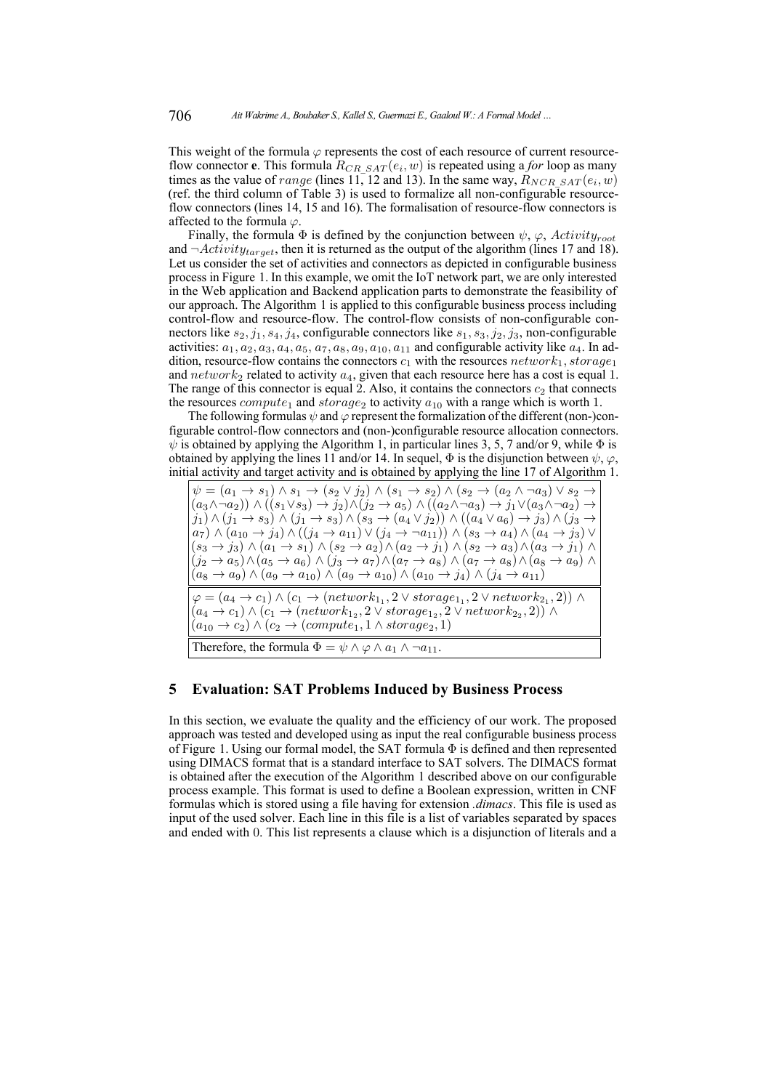This weight of the formula  $\varphi$  represents the cost of each resource of current resourceflow connector **e**. This formula  $R_{CR\_SAT}(e_i, w)$  is repeated using a *for* loop as many times as the value of *range* (lines 11, 12 and 13). In the same way,  $R_{NCR\_SAT}(e_i, w)$ (ref. the third column of Table [3\)](#page-11-0) is used to formalize all non-configurable resourceflow connectors (lines 14, 15 and 16). The formalisation of resource-flow connectors is affected to the formula  $\varphi$ .

Finally, the formula  $\Phi$  is defined by the conjunction between  $\psi$ ,  $\varphi$ , Activity<sub>root</sub> and  $\neg Activity_{target}$ , then it is returned as the output of the algorithm (lines 17 and 18). Let us consider the set of activities and connectors as depicted in configurable business process in Figure [1.](#page-3-0) In this example, we omit the IoT network part, we are only interested in the Web application and Backend application parts to demonstrate the feasibility of our approach. The Algorithm [1](#page-14-0) is applied to this configurable business process including control-flow and resource-flow. The control-flow consists of non-configurable connectors like  $s_2$ ,  $j_1$ ,  $s_4$ ,  $j_4$ , configurable connectors like  $s_1$ ,  $s_3$ ,  $j_2$ ,  $j_3$ , non-configurable activities:  $a_1, a_2, a_3, a_4, a_5, a_7, a_8, a_9, a_{10}, a_{11}$  and configurable activity like  $a_4$ . In addition, resource-flow contains the connectors  $c_1$  with the resources  $network_1, storage_1$ and  $network_2$  related to activity  $a_4$ , given that each resource here has a cost is equal 1. The range of this connector is equal 2. Also, it contains the connectors  $c_2$  that connects the resources  $compute_1$  and  $storage_2$  to activity  $a_{10}$  with a range which is worth 1.

The following formulas  $\psi$  and  $\varphi$  represent the formalization of the different (non-)configurable control-flow connectors and (non-)configurable resource allocation connectors.  $\psi$  is obtained by applying the Algorithm 1, in particular lines 3, 5, 7 and/or 9, while  $\Phi$  is obtained by applying the lines 11 and/or 14. In sequel,  $\Phi$  is the disjunction between  $\psi$ ,  $\varphi$ , initial activity and target activity and is obtained by applying the line 17 of Algorithm 1.

 $\psi = (a_1 \rightarrow s_1) \land s_1 \rightarrow (s_2 \lor j_2) \land (s_1 \rightarrow s_2) \land (s_2 \rightarrow (a_2 \land \neg a_3) \lor s_2 \rightarrow$  $(a_3 \wedge \neg a_2) \wedge ((s_1 \vee s_3) \rightarrow j_2) \wedge (j_2 \rightarrow a_5) \wedge ((a_2 \wedge \neg a_3) \rightarrow j_1 \vee (a_3 \wedge \neg a_2) \rightarrow$  $(j_1) \wedge (j_1 \rightarrow s_3) \wedge (j_1 \rightarrow s_3) \wedge (s_3 \rightarrow (a_4 \vee j_2)) \wedge ((a_4 \vee a_6) \rightarrow j_3) \wedge (j_3 \rightarrow$  $a_7) \wedge (a_{10} \to j_4) \wedge ((j_4 \to a_{11}) \vee (j_4 \to \neg a_{11})) \wedge (s_3 \to a_4) \wedge (a_4 \to j_3) \vee$  $(s_3 \rightarrow j_3) \land (a_1 \rightarrow s_1) \land (s_2 \rightarrow a_2) \land (a_2 \rightarrow j_1) \land (s_2 \rightarrow a_3) \land (a_3 \rightarrow j_1) \land$  $(j_2 \rightarrow a_5) \wedge (a_5 \rightarrow a_6) \wedge (j_3 \rightarrow a_7) \wedge (a_7 \rightarrow a_8) \wedge (a_7 \rightarrow a_8) \wedge (a_8 \rightarrow a_9) \wedge$  $(a_8 \rightarrow a_9) \wedge (a_9 \rightarrow a_{10}) \wedge (a_9 \rightarrow a_{10}) \wedge (a_{10} \rightarrow a_{11}) \wedge (a_{10} \rightarrow a_{11})$  $\varphi = (a_4 \to c_1) \land (c_1 \to (network_{1_1}, 2 \lor storage_{1_1}, 2 \lor network_{2_1}, 2)) \land$  $(a_4 \rightarrow c_1) \land (c_1 \rightarrow (network_{1_2}, 2 \lor storage_{1_2}, 2 \lor network_{2_2}, 2)) \land$  $(a_{10} \rightarrow c_2) \land (c_2 \rightarrow (compute_1, 1 \land storage_2, 1)$ Therefore, the formula  $\Phi = \psi \wedge \varphi \wedge a_1 \wedge \neg a_{11}$ .

## <span id="page-13-0"></span>**5 Evaluation: SAT Problems Induced by Business Process**

In this section, we evaluate the quality and the efficiency of our work. The proposed approach was tested and developed using as input the real configurable business process of Figure [1.](#page-3-0) Using our formal model, the SAT formula  $\Phi$  is defined and then represented using DIMACS format that is a standard interface to SAT solvers. The DIMACS format is obtained after the execution of the Algorithm [1](#page-14-0) described above on our configurable process example. This format is used to define a Boolean expression, written in CNF formulas which is stored using a file having for extension *.dimacs*. This file is used as input of the used solver. Each line in this file is a list of variables separated by spaces and ended with 0. This list represents a clause which is a disjunction of literals and a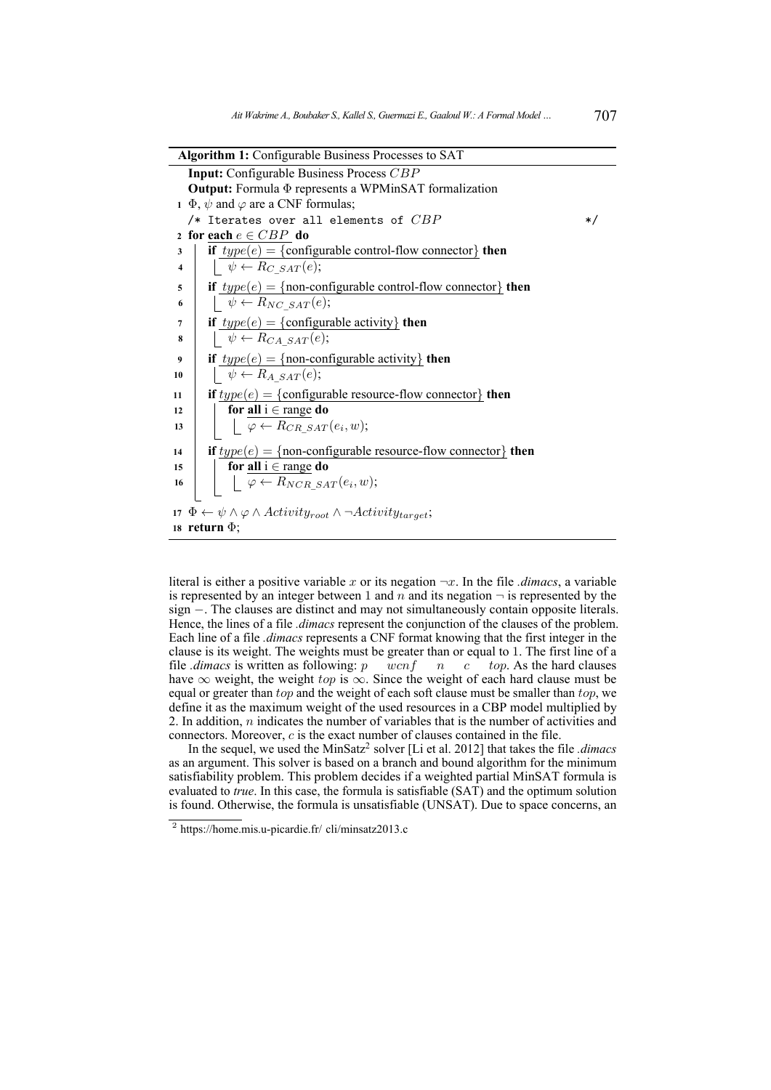| <b>Algorithm 1:</b> Configurable Business Processes to SAT                                                   |
|--------------------------------------------------------------------------------------------------------------|
| <b>Input:</b> Configurable Business Process CBP                                                              |
| <b>Output:</b> Formula $\Phi$ represents a WPMinSAT formalization                                            |
| $\Phi$ , $\psi$ and $\varphi$ are a CNF formulas;                                                            |
| /* Iterates over all elements of $CBP$<br>$\ast/$                                                            |
| 2 for each $e \in CBP$ do                                                                                    |
| if $type(e) = \{configurable control-flow connector\}$ then<br>3                                             |
| $\psi \leftarrow R_C$ sar(e);<br>$\overline{\mathbf{4}}$                                                     |
| if $type(e) = \{non-configurable control-flow connector\}$ then<br>5                                         |
| $\psi \leftarrow R_{NC\_SAT}(e);$<br>6                                                                       |
| if $type(e) = \{configurable activity\}$ then<br>7                                                           |
| $\psi \leftarrow R_{CA \, SAT}(e);$<br>8                                                                     |
| if $type(e) = \{non-configurable activity\}$ then<br>9                                                       |
| $\downarrow \psi \leftarrow R_A \,_{SAT}(e);$<br>10                                                          |
| if $type(e) = \{configurable resource-flow connector\}$ then<br>11                                           |
| for all $i \in \text{range}$ do<br>12                                                                        |
| $\downharpoonright \varphi \leftarrow R_{CR\_SAT}(e_i, w);$<br>13                                            |
| if $type(e) = \{non-configurable resource-flow connector\}$ then<br>14                                       |
| for <u>all</u> $i \in \text{range}$ do<br>15                                                                 |
| $\big $ $\downarrow \varphi \leftarrow R_{NCR\_SAT}(e_i, w);$<br>16                                          |
|                                                                                                              |
| 17 $\Phi \leftarrow \psi \wedge \varphi \wedge \text{Activity}_{root} \wedge \neg \text{Activity}_{target};$ |
| 18 return $\Phi$ ;                                                                                           |

<span id="page-14-0"></span>literal is either a positive variable x or its negation  $\neg x$ . In the file *.dimacs*, a variable is represented by an integer between 1 and  $n$  and its negation  $\neg$  is represented by the sign −. The clauses are distinct and may not simultaneously contain opposite literals. Hence, the lines of a file *.dimacs* represent the conjunction of the clauses of the problem. Each line of a file *.dimacs* represents a CNF format knowing that the first integer in the clause is its weight. The weights must be greater than or equal to 1. The first line of a file *dimacs* is written as following:  $p \quad wcnf \quad n \quad c \quad top$ . As the hard clauses have  $\infty$  weight, the weight top is  $\infty$ . Since the weight of each hard clause must be equal or greater than top and the weight of each soft clause must be smaller than top, we define it as the maximum weight of the used resources in a CBP model multiplied by 2. In addition,  $n$  indicates the number of variables that is the number of activities and connectors. Moreover, c is the exact number of clauses contained in the file.

In the sequel, we used the MinSatz<sup>[2](#page-20-1)</sup> solver [\[Li et al. 2012\]](#page-19-11) that takes the file *.dimacs* as an argument. This solver is based on a branch and bound algorithm for the minimum satisfiability problem. This problem decides if a weighted partial MinSAT formula is evaluated to *true*. In this case, the formula is satisfiable (SAT) and the optimum solution is found. Otherwise, the formula is unsatisfiable (UNSAT). Due to space concerns, an

<sup>2</sup> https://home.mis.u-picardie.fr/ cli/minsatz2013.c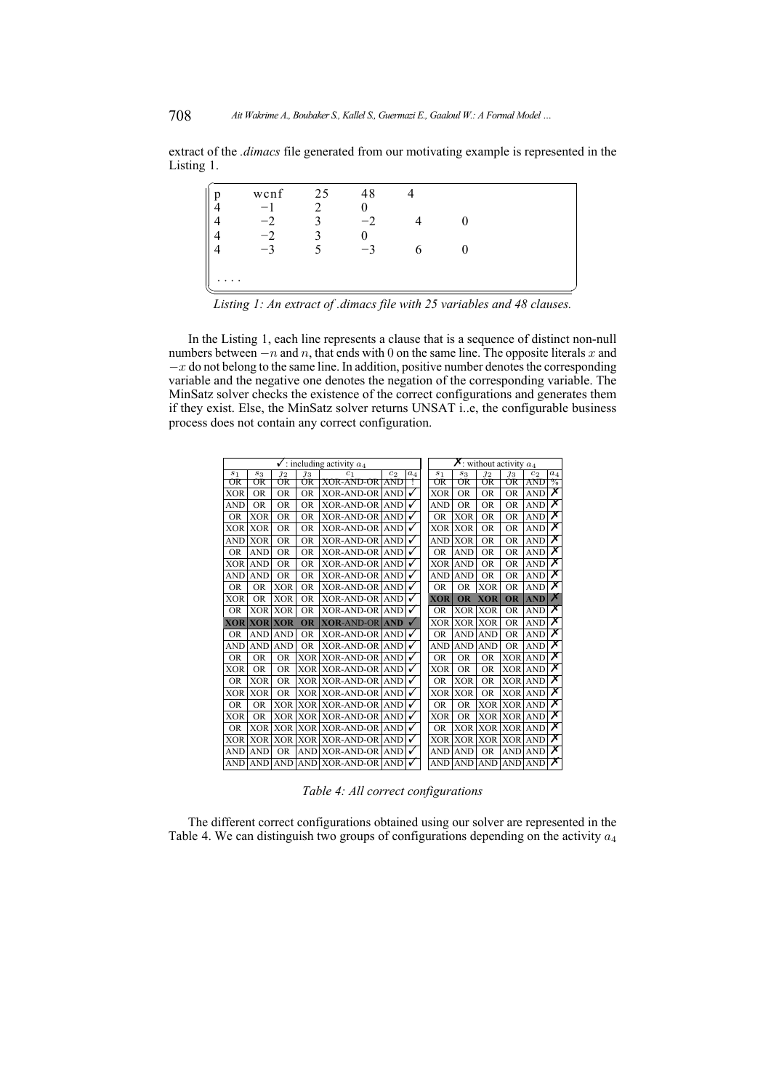extract of the *.dimacs* file generated from our motivating example is represented in the Listing [1.](#page-15-0)

<span id="page-15-0"></span>

| n | wcnf | 25 | 48   |  |  |
|---|------|----|------|--|--|
|   |      |    |      |  |  |
|   | $-2$ |    | $-2$ |  |  |
|   | $-2$ |    |      |  |  |
|   |      |    | $-3$ |  |  |
|   |      |    |      |  |  |
|   |      |    |      |  |  |
|   |      |    |      |  |  |

*Listing 1: An extract of .dimacs file with 25 variables and 48 clauses.*

In the Listing [1,](#page-15-0) each line represents a clause that is a sequence of distinct non-null numbers between  $-n$  and n, that ends with 0 on the same line. The opposite literals x and  $-x$  do not belong to the same line. In addition, positive number denotes the corresponding variable and the negative one denotes the negation of the corresponding variable. The MinSatz solver checks the existence of the correct configurations and generates them if they exist. Else, the MinSatz solver returns UNSAT i..e, the configurable business process does not contain any correct configuration.

<span id="page-15-1"></span>

| $\checkmark$ : including activity $a_4$ |            |                 |                 |                       |                |                |                | $\chi$ : without activity $a_4$ |                 |                  |                |                         |
|-----------------------------------------|------------|-----------------|-----------------|-----------------------|----------------|----------------|----------------|---------------------------------|-----------------|------------------|----------------|-------------------------|
| S <sub>1</sub>                          | $s_3$      | $\overline{1}2$ | $\overline{1}3$ | C <sub>1</sub>        | c <sub>2</sub> | a <sub>4</sub> | S <sub>1</sub> | $s_3$                           | $\overline{1}2$ | $\overline{1}3$  | c <sub>2</sub> | $a_4$                   |
| OR                                      | OR         | OR              | ŌR              | XOR-AND-OR            | AND            | т              | OR             | OR                              | OR              | OR               | AND            | $\%$                    |
| XOR                                     | <b>OR</b>  | <b>OR</b>       | <b>OR</b>       | <b>XOR-AND-OR</b>     | <b>AND</b>     |                | <b>XOR</b>     | <b>OR</b>                       | <b>OR</b>       | <b>OR</b>        | <b>AND</b>     | $\overline{\bm{x}}$     |
| <b>AND</b>                              | <b>OR</b>  | <b>OR</b>       | <b>OR</b>       | <b>XOR-AND-OR</b>     | <b>AND</b>     |                | <b>AND</b>     | <b>OR</b>                       | <b>OR</b>       | <b>OR</b>        | <b>AND</b>     | Х                       |
| <b>OR</b>                               | <b>XOR</b> | <b>OR</b>       | <b>OR</b>       | <b>XOR-AND-OR</b>     | <b>AND</b>     |                | <b>OR</b>      | <b>XOR</b>                      | <b>OR</b>       | <b>OR</b>        | <b>AND</b>     | Х                       |
| XOR                                     | <b>XOR</b> | <b>OR</b>       | <b>OR</b>       | <b>XOR-AND-OR</b>     | <b>AND</b>     |                | XOR            | XOR                             | <b>OR</b>       | <b>OR</b>        | <b>AND</b>     | $\overline{\textsf{x}}$ |
| AND                                     | <b>XOR</b> | <b>OR</b>       | <b>OR</b>       | <b>XOR-AND-OR</b>     | <b>AND</b>     |                | <b>AND</b>     | <b>XOR</b>                      | <b>OR</b>       | <b>OR</b>        | <b>AND</b>     | $\overline{\textsf{x}}$ |
| <b>OR</b>                               | <b>AND</b> | <b>OR</b>       | <b>OR</b>       | <b>XOR-AND-OR</b>     | <b>AND</b>     |                | <b>OR</b>      | <b>AND</b>                      | <b>OR</b>       | <b>OR</b>        | <b>AND</b>     | $\overline{\textsf{x}}$ |
| <b>XOR</b>                              | <b>AND</b> | <b>OR</b>       | <b>OR</b>       | <b>XOR-AND-OR</b>     | <b>AND</b>     |                | <b>XOR</b>     | <b>AND</b>                      | <b>OR</b>       | <b>OR</b>        | <b>AND</b>     | $\overline{\bm{x}}$     |
| AND                                     | <b>AND</b> | <b>OR</b>       | <b>OR</b>       | <b>XOR-AND-OR</b>     | <b>AND</b>     |                | <b>AND</b>     | <b>AND</b>                      | <b>OR</b>       | <b>OR</b>        | <b>AND</b>     | Х                       |
| <b>OR</b>                               | <b>OR</b>  | <b>XOR</b>      | <b>OR</b>       | <b>XOR-AND-OR</b>     | <b>AND</b>     |                | <b>OR</b>      | <b>OR</b>                       | <b>XOR</b>      | <b>OR</b>        | <b>AND</b>     | $\overline{\textsf{x}}$ |
| <b>XOR</b>                              | <b>OR</b>  | <b>XOR</b>      | <b>OR</b>       | <b>XOR-AND-OR</b>     | <b>AND</b>     |                | XOR            | <b>OR</b>                       | <b>XOR</b>      | <b>OR</b>        | <b>AND</b>     | X                       |
| <b>OR</b>                               | <b>XOR</b> | <b>XOR</b>      | <b>OR</b>       | <b>XOR-AND-OR</b>     | <b>AND</b>     | $\checkmark$   | <b>OR</b>      | <b>XOR</b>                      | <b>XOR</b>      | <b>OR</b>        | <b>AND</b>     | $\overline{\textsf{x}}$ |
| <b>XOR</b>                              | <b>XOR</b> | <b>XOR</b>      | <b>OR</b>       | <b>XOR-AND-OR</b>     | <b>AND</b>     |                | XOR            | <b>XOR</b>                      | <b>XOR</b>      | <b>OR</b>        | <b>AND</b>     | $\overline{\textsf{x}}$ |
| <b>OR</b>                               | <b>AND</b> | <b>AND</b>      | <b>OR</b>       | <b>XOR-AND-OR</b>     | <b>AND</b>     |                | <b>OR</b>      | <b>AND</b>                      | <b>AND</b>      | <b>OR</b>        | <b>AND</b>     | Х                       |
| <b>AND</b>                              | <b>AND</b> | <b>AND</b>      | <b>OR</b>       | <b>XOR-AND-OR</b>     | <b>AND</b>     |                | AND            | <b>AND</b>                      | <b>AND</b>      | <b>OR</b>        | <b>AND</b>     | $\overline{\textsf{x}}$ |
| <b>OR</b>                               | <b>OR</b>  | <b>OR</b>       | <b>XOR</b>      | <b>XOR-AND-OR</b>     | <b>AND</b>     |                | <b>OR</b>      | <b>OR</b>                       | <b>OR</b>       | XOR              | <b>AND</b>     | $\overline{\textsf{x}}$ |
| <b>XOR</b>                              | <b>OR</b>  | <b>OR</b>       | <b>XOR</b>      | <b>XOR-AND-OR</b>     | <b>AND</b>     |                | XOR            | <b>OR</b>                       | <b>OR</b>       | XOR <sup>1</sup> | <b>AND</b>     | $\overline{\mathsf{x}}$ |
| <b>OR</b>                               | <b>XOR</b> | <b>OR</b>       |                 | <b>XOR XOR-AND-OR</b> | <b>AND</b>     |                | <b>OR</b>      | <b>XOR</b>                      | <b>OR</b>       |                  | <b>XOR AND</b> | $\overline{\textsf{x}}$ |
| <b>XOR</b>                              | <b>XOR</b> | <b>OR</b>       |                 | <b>XOR XOR-AND-OR</b> | <b>AND</b>     |                | XOR            | <b>XOR</b>                      | <b>OR</b>       |                  | <b>XOR AND</b> | Х                       |
| <b>OR</b>                               | <b>OR</b>  | <b>XOR</b>      | <b>XOR</b>      | <b>XOR-AND-OR</b>     | <b>AND</b>     |                | <b>OR</b>      | <b>OR</b>                       | <b>XOR</b>      | <b>XOR AND</b>   |                | X                       |
| <b>XOR</b>                              | <b>OR</b>  | <b>XOR</b>      | <b>XOR</b>      | <b>XOR-AND-OR</b>     | <b>AND</b>     |                | XOR            | <b>OR</b>                       | <b>XOR</b>      | <b>XOR AND</b>   |                | $\overline{\textsf{x}}$ |
| <b>OR</b>                               | <b>XOR</b> | <b>XOR</b>      |                 | XOR XOR-AND-OR        | <b>AND</b>     |                | <b>OR</b>      | <b>XOR</b>                      | <b>XOR</b>      | <b>XOR AND</b>   |                | $\overline{\mathsf{x}}$ |
| XOR                                     | <b>XOR</b> | <b>XOR</b>      |                 | XOR   XOR-AND-OR      | <b>AND</b>     | √              | XOR            | <b>XOR</b>                      | <b>XOR</b>      | XOR AND          |                | $\overline{\textsf{x}}$ |
| <b>AND</b>                              | <b>AND</b> | <b>OR</b>       | <b>AND</b>      | <b>XOR-AND-OR</b>     | <b>AND</b>     |                | <b>AND</b>     | <b>AND</b>                      | <b>OR</b>       | <b>AND</b>       | <b>AND</b>     | $\overline{\textsf{x}}$ |
| <b>AND</b>                              | <b>AND</b> | AND             |                 | AND XOR-AND-OR AND    |                |                | AND            |                                 | <b>AND AND</b>  | <b>AND</b> AND   |                | Х                       |

*Table 4: All correct configurations*

The different correct configurations obtained using our solver are represented in the Table [4.](#page-15-1) We can distinguish two groups of configurations depending on the activity  $a_4$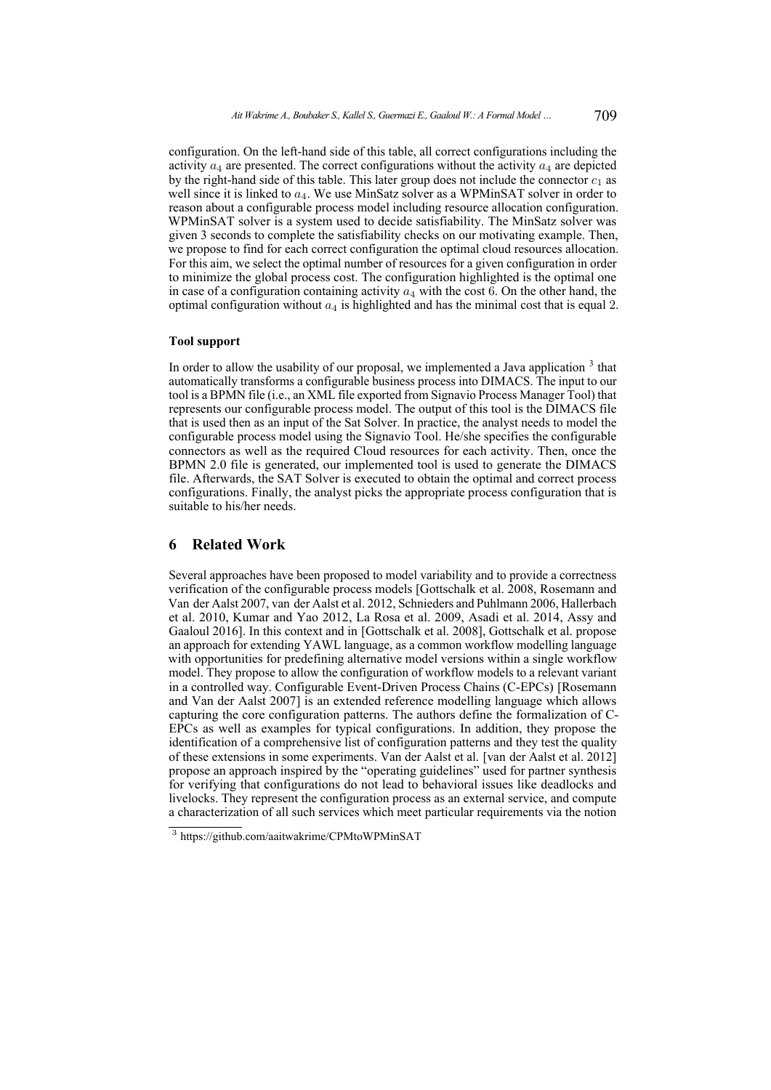configuration. On the left-hand side of this table, all correct configurations including the activity  $a_4$  are presented. The correct configurations without the activity  $a_4$  are depicted by the right-hand side of this table. This later group does not include the connector  $c_1$  as well since it is linked to  $a_4$ . We use MinSatz solver as a WPMinSAT solver in order to reason about a configurable process model including resource allocation configuration. WPMinSAT solver is a system used to decide satisfiability. The MinSatz solver was given 3 seconds to complete the satisfiability checks on our motivating example. Then, we propose to find for each correct configuration the optimal cloud resources allocation. For this aim, we select the optimal number of resources for a given configuration in order to minimize the global process cost. The configuration highlighted is the optimal one in case of a configuration containing activity  $a_4$  with the cost 6. On the other hand, the optimal configuration without  $a_4$  is highlighted and has the minimal cost that is equal 2.

#### **Tool support**

In order to allow the usability of our proposal, we implemented a Java application  $3$  that automatically transforms a configurable business process into DIMACS. The input to our tool is a BPMN file (i.e., an XML file exported from Signavio Process Manager Tool) that represents our configurable process model. The output of this tool is the DIMACS file that is used then as an input of the Sat Solver. In practice, the analyst needs to model the configurable process model using the Signavio Tool. He/she specifies the configurable connectors as well as the required Cloud resources for each activity. Then, once the BPMN 2.0 file is generated, our implemented tool is used to generate the DIMACS file. Afterwards, the SAT Solver is executed to obtain the optimal and correct process configurations. Finally, the analyst picks the appropriate process configuration that is suitable to his/her needs.

# <span id="page-16-0"></span>**6 Related Work**

Several approaches have been proposed to model variability and to provide a correctness verification of the configurable process models [\[Gottschalk et al. 2008,](#page-18-5) [Rosemann and](#page-19-0) [Van der Aalst 2007,](#page-19-0) [van der Aalst et al. 2012,](#page-20-4) [Schnieders and Puhlmann 2006,](#page-19-12) [Hallerbach](#page-19-2) [et al. 2010,](#page-19-2) [Kumar and Yao 2012,](#page-19-3) [La Rosa et al. 2009,](#page-19-5) [Asadi et al. 2014,](#page-18-1) [Assy and](#page-18-0) [Gaaloul 2016\]](#page-18-0). In this context and in [\[Gottschalk et al. 2008\]](#page-18-5), Gottschalk et al. propose an approach for extending YAWL language, as a common workflow modelling language with opportunities for predefining alternative model versions within a single workflow model. They propose to allow the configuration of workflow models to a relevant variant in a controlled way. Configurable Event-Driven Process Chains (C-EPCs) [\[Rosemann](#page-19-0) [and Van der Aalst 2007\]](#page-19-0) is an extended reference modelling language which allows capturing the core configuration patterns. The authors define the formalization of C-EPCs as well as examples for typical configurations. In addition, they propose the identification of a comprehensive list of configuration patterns and they test the quality of these extensions in some experiments. Van der Aalst et al. [\[van der Aalst et al. 2012\]](#page-20-4) propose an approach inspired by the "operating guidelines" used for partner synthesis for verifying that configurations do not lead to behavioral issues like deadlocks and livelocks. They represent the configuration process as an external service, and compute a characterization of all such services which meet particular requirements via the notion

<sup>3</sup> https://github.com/aaitwakrime/CPMtoWPMinSAT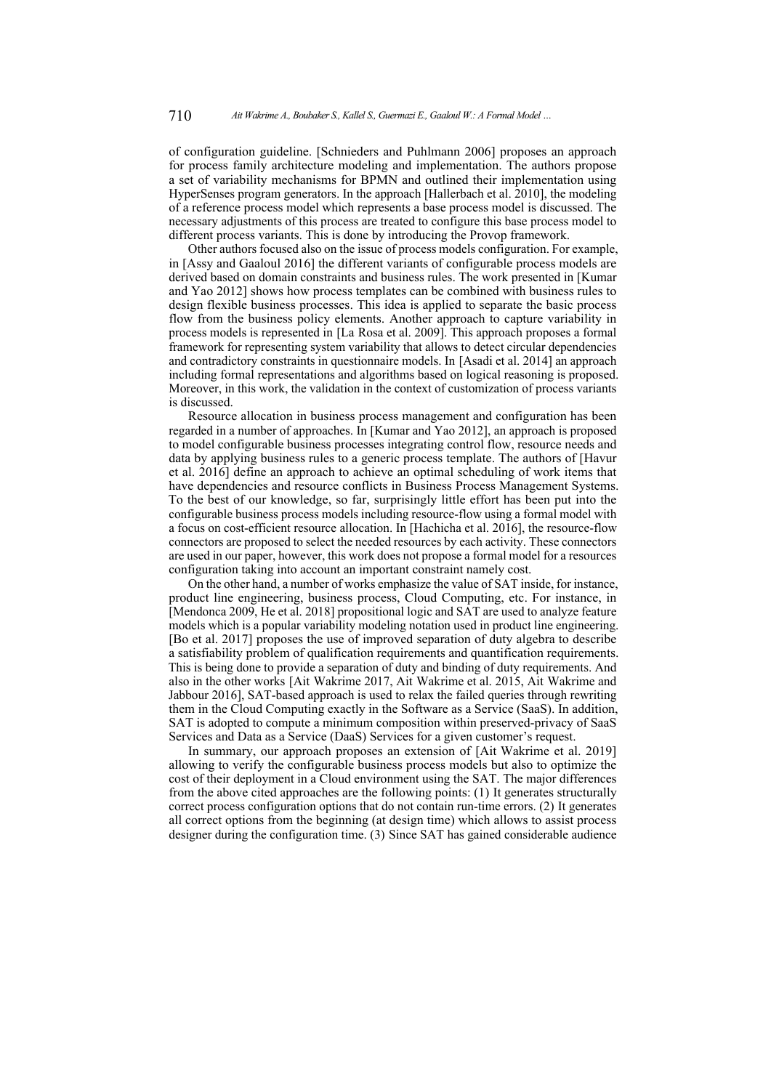of configuration guideline. [\[Schnieders and Puhlmann 2006\]](#page-19-12) proposes an approach for process family architecture modeling and implementation. The authors propose a set of variability mechanisms for BPMN and outlined their implementation using HyperSenses program generators. In the approach [\[Hallerbach et al. 2010\]](#page-19-2), the modeling of a reference process model which represents a base process model is discussed. The necessary adjustments of this process are treated to configure this base process model to different process variants. This is done by introducing the Provop framework.

Other authors focused also on the issue of process models configuration. For example, in [\[Assy and Gaaloul 2016\]](#page-18-0) the different variants of configurable process models are derived based on domain constraints and business rules. The work presented in [\[Kumar](#page-19-3) [and Yao 2012\]](#page-19-3) shows how process templates can be combined with business rules to design flexible business processes. This idea is applied to separate the basic process flow from the business policy elements. Another approach to capture variability in process models is represented in [\[La Rosa et al. 2009\]](#page-19-5). This approach proposes a formal framework for representing system variability that allows to detect circular dependencies and contradictory constraints in questionnaire models. In [\[Asadi et al. 2014\]](#page-18-1) an approach including formal representations and algorithms based on logical reasoning is proposed. Moreover, in this work, the validation in the context of customization of process variants is discussed.

Resource allocation in business process management and configuration has been regarded in a number of approaches. In [\[Kumar and Yao 2012\]](#page-19-3), an approach is proposed to model configurable business processes integrating control flow, resource needs and data by applying business rules to a generic process template. The authors of [\[Havur](#page-19-13) [et al. 2016\]](#page-19-13) define an approach to achieve an optimal scheduling of work items that have dependencies and resource conflicts in Business Process Management Systems. To the best of our knowledge, so far, surprisingly little effort has been put into the configurable business process models including resource-flow using a formal model with a focus on cost-efficient resource allocation. In [\[Hachicha et al. 2016\]](#page-19-8), the resource-flow connectors are proposed to select the needed resources by each activity. These connectors are used in our paper, however, this work does not propose a formal model for a resources configuration taking into account an important constraint namely cost.

On the other hand, a number of works emphasize the value of SAT inside, for instance, product line engineering, business process, Cloud Computing, etc. For instance, in [\[Mendonca 2009,](#page-19-14) [He et al. 2018\]](#page-19-15) propositional logic and SAT are used to analyze feature models which is a popular variability modeling notation used in product line engineering. [\[Bo et al. 2017\]](#page-18-6) proposes the use of improved separation of duty algebra to describe a satisfiability problem of qualification requirements and quantification requirements. This is being done to provide a separation of duty and binding of duty requirements. And also in the other works [\[Ait Wakrime 2017,](#page-18-7) [Ait Wakrime et al. 2015,](#page-18-8) [Ait Wakrime and](#page-18-9) [Jabbour 2016\]](#page-18-9), SAT-based approach is used to relax the failed queries through rewriting them in the Cloud Computing exactly in the Software as a Service (SaaS). In addition, SAT is adopted to compute a minimum composition within preserved-privacy of SaaS Services and Data as a Service (DaaS) Services for a given customer's request.

In summary, our approach proposes an extension of [\[Ait Wakrime et al. 2019\]](#page-18-2) allowing to verify the configurable business process models but also to optimize the cost of their deployment in a Cloud environment using the SAT. The major differences from the above cited approaches are the following points: (1) It generates structurally correct process configuration options that do not contain run-time errors. (2) It generates all correct options from the beginning (at design time) which allows to assist process designer during the configuration time. (3) Since SAT has gained considerable audience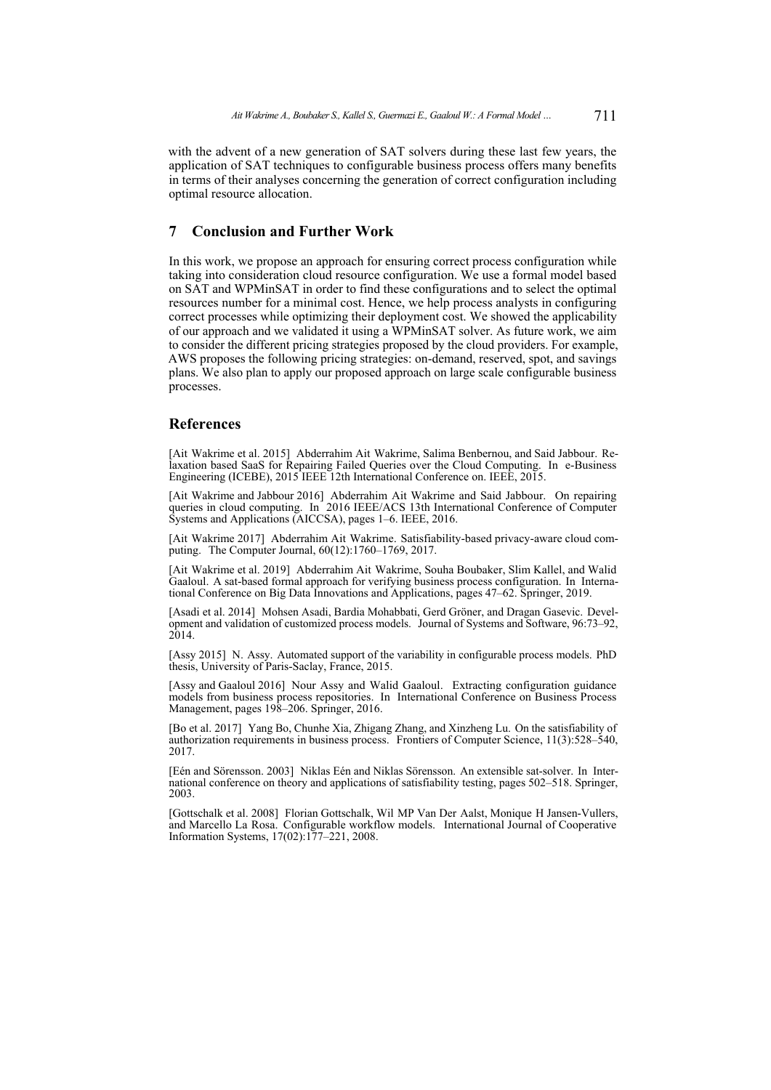with the advent of a new generation of SAT solvers during these last few years, the application of SAT techniques to configurable business process offers many benefits in terms of their analyses concerning the generation of correct configuration including optimal resource allocation.

### **7 Conclusion and Further Work**

In this work, we propose an approach for ensuring correct process configuration while taking into consideration cloud resource configuration. We use a formal model based on SAT and WPMinSAT in order to find these configurations and to select the optimal resources number for a minimal cost. Hence, we help process analysts in configuring correct processes while optimizing their deployment cost. We showed the applicability of our approach and we validated it using a WPMinSAT solver. As future work, we aim to consider the different pricing strategies proposed by the cloud providers. For example, AWS proposes the following pricing strategies: on-demand, reserved, spot, and savings plans. We also plan to apply our proposed approach on large scale configurable business processes.

### **References**

<span id="page-18-8"></span>[Ait Wakrime et al. 2015] Abderrahim Ait Wakrime, Salima Benbernou, and Said Jabbour. Relaxation based SaaS for Repairing Failed Queries over the Cloud Computing. In e-Business Engineering (ICEBE), 2015 IEEE 12th International Conference on. IEEE, 2015.

<span id="page-18-9"></span>[Ait Wakrime and Jabbour 2016] Abderrahim Ait Wakrime and Said Jabbour. On repairing queries in cloud computing. In 2016 IEEE/ACS 13th International Conference of Computer Systems and Applications (AICCSA), pages 1–6. IEEE, 2016.

<span id="page-18-7"></span>[Ait Wakrime 2017] Abderrahim Ait Wakrime. Satisfiability-based privacy-aware cloud computing. The Computer Journal, 60(12):1760–1769, 2017.

<span id="page-18-2"></span>[Ait Wakrime et al. 2019] Abderrahim Ait Wakrime, Souha Boubaker, Slim Kallel, and Walid Gaaloul. A sat-based formal approach for verifying business process configuration. In International Conference on Big Data Innovations and Applications, pages 47–62. Springer, 2019.

<span id="page-18-1"></span>[Asadi et al. 2014] Mohsen Asadi, Bardia Mohabbati, Gerd Gröner, and Dragan Gasevic. Development and validation of customized process models. Journal of Systems and Software, 96:73–92, 2014.

<span id="page-18-3"></span>[Assy 2015] N. Assy. Automated support of the variability in configurable process models. PhD thesis, University of Paris-Saclay, France, 2015.

<span id="page-18-0"></span>[Assy and Gaaloul 2016] Nour Assy and Walid Gaaloul. Extracting configuration guidance models from business process repositories. In International Conference on Business Process Management, pages 198–206. Springer, 2016.

<span id="page-18-6"></span>[Bo et al. 2017] Yang Bo, Chunhe Xia, Zhigang Zhang, and Xinzheng Lu. On the satisfiability of authorization requirements in business process. Frontiers of Computer Science, 11(3):528–540, 2017.

<span id="page-18-4"></span>[Eén and Sörensson. 2003] Niklas Eén and Niklas Sörensson. An extensible sat-solver. In International conference on theory and applications of satisfiability testing, pages 502–518. Springer, 2003.

<span id="page-18-5"></span>[Gottschalk et al. 2008] Florian Gottschalk, Wil MP Van Der Aalst, Monique H Jansen-Vullers, and Marcello La Rosa. Configurable workflow models. International Journal of Cooperative Information Systems, 17(02):177–221, 2008.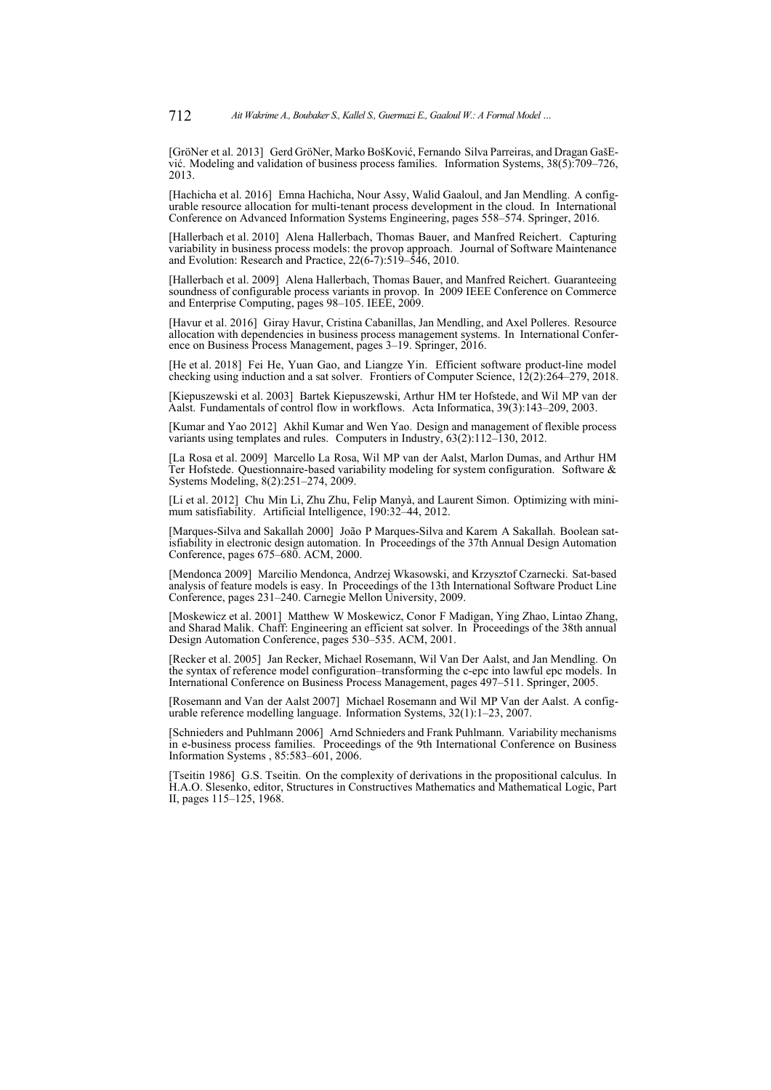<span id="page-19-4"></span>[GröNer et al. 2013] Gerd GröNer, Marko BošKović, Fernando Silva Parreiras, and Dragan GašEvić. Modeling and validation of business process families. Information Systems, 38(5):709–726, 2013.

<span id="page-19-8"></span>[Hachicha et al. 2016] Emna Hachicha, Nour Assy, Walid Gaaloul, and Jan Mendling. A configurable resource allocation for multi-tenant process development in the cloud. In International Conference on Advanced Information Systems Engineering, pages 558–574. Springer, 2016.

<span id="page-19-2"></span>[Hallerbach et al. 2010] Alena Hallerbach, Thomas Bauer, and Manfred Reichert. Capturing variability in business process models: the provop approach. Journal of Software Maintenance and Evolution: Research and Practice, 22(6-7):519–546, 2010.

<span id="page-19-6"></span>[Hallerbach et al. 2009] Alena Hallerbach, Thomas Bauer, and Manfred Reichert. Guaranteeing soundness of configurable process variants in provop. In 2009 IEEE Conference on Commerce and Enterprise Computing, pages 98–105. IEEE, 2009.

<span id="page-19-13"></span>[Havur et al. 2016] Giray Havur, Cristina Cabanillas, Jan Mendling, and Axel Polleres. Resource allocation with dependencies in business process management systems. In International Conference on Business Process Management, pages 3–19. Springer, 2016.

<span id="page-19-15"></span>[He et al. 2018] Fei He, Yuan Gao, and Liangze Yin. Efficient software product-line model checking using induction and a sat solver. Frontiers of Computer Science,  $12(2)$ :264–279, 2018.

<span id="page-19-7"></span>[Kiepuszewski et al. 2003] Bartek Kiepuszewski, Arthur HM ter Hofstede, and Wil MP van der Aalst. Fundamentals of control flow in workflows. Acta Informatica, 39(3):143–209, 2003.

<span id="page-19-3"></span>[Kumar and Yao 2012] Akhil Kumar and Wen Yao. Design and management of flexible process variants using templates and rules. Computers in Industry, 63(2):112–130, 2012.

<span id="page-19-5"></span>[La Rosa et al. 2009] Marcello La Rosa, Wil MP van der Aalst, Marlon Dumas, and Arthur HM Ter Hofstede. Questionnaire-based variability modeling for system configuration. Software & Systems Modeling, 8(2):251–274, 2009.

<span id="page-19-11"></span>[Li et al. 2012] Chu Min Li, Zhu Zhu, Felip Manyà, and Laurent Simon. Optimizing with minimum satisfiability. Artificial Intelligence, 190:32-44, 2012.

[Marques-Silva and Sakallah 2000] João P Marques-Silva and Karem A Sakallah. Boolean satisfiability in electronic design automation. In Proceedings of the 37th Annual Design Automation Conference, pages 675–680. ACM, 2000.

<span id="page-19-14"></span>[Mendonca 2009] Marcilio Mendonca, Andrzej Wkasowski, and Krzysztof Czarnecki. Sat-based analysis of feature models is easy. In Proceedings of the 13th International Software Product Line Conference, pages 231–240. Carnegie Mellon University, 2009.

<span id="page-19-10"></span>[Moskewicz et al. 2001] Matthew W Moskewicz, Conor F Madigan, Ying Zhao, Lintao Zhang, and Sharad Malik. Chaff: Engineering an efficient sat solver. In Proceedings of the 38th annual Design Automation Conference, pages 530–535. ACM, 2001.

<span id="page-19-1"></span>[Recker et al. 2005] Jan Recker, Michael Rosemann, Wil Van Der Aalst, and Jan Mendling. On the syntax of reference model configuration–transforming the c-epc into lawful epc models. In International Conference on Business Process Management, pages 497–511. Springer, 2005.

<span id="page-19-0"></span>[Rosemann and Van der Aalst 2007] Michael Rosemann and Wil MP Van der Aalst. A configurable reference modelling language. Information Systems, 32(1):1-23, 2007.

<span id="page-19-12"></span>[Schnieders and Puhlmann 2006] Arnd Schnieders and Frank Puhlmann. Variability mechanisms in e-business process families. Proceedings of the 9th International Conference on Business Information Systems , 85:583–601, 2006.

<span id="page-19-9"></span>[Tseitin 1986] G.S. Tseitin. On the complexity of derivations in the propositional calculus. In H.A.O. Slesenko, editor, Structures in Constructives Mathematics and Mathematical Logic, Part II, pages 115–125, 1968.